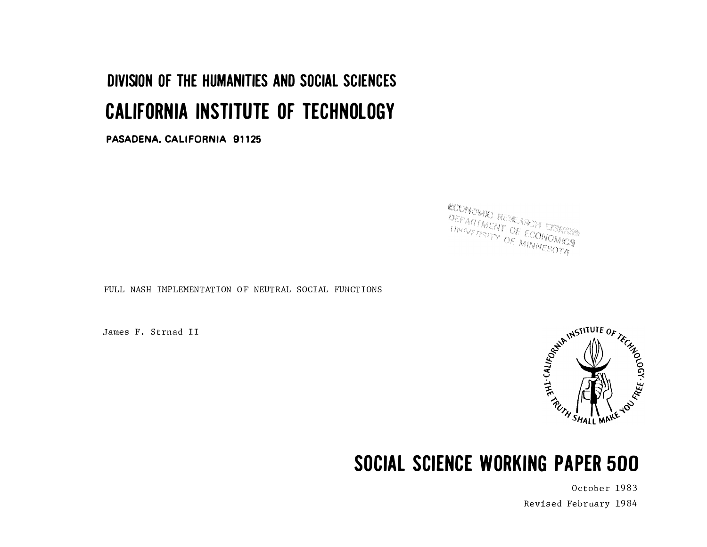# DIVISION OF THE HUMANITIES AND SOCIAL SCIENCES CALIFORNIA INSTITUTE OF TECHNOLOGY

PASADENA. CALIFORNIA 91125

**ECONOMIC RESEARCH ESTATE ACCRYONIC RESEARCH LIBRARY**<br>CEPARTMENT OF ECONOMICS **CEPARTMENT OF ECONOMICS** 

FULL NASH IMPLEMENTATION OF NEUTRAL SOCIAL FUNCTIONS

James F. Strnad II



## SOCIAL SCIENCE WORKING PAPER 500

October 1983 Revised February 1984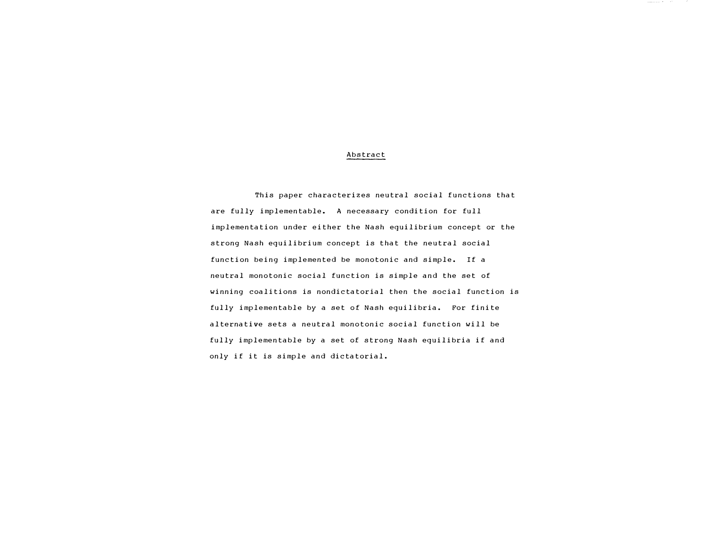#### Abstract

This paper characterizes neutral social functions that are fully implementable. A necessary condition for full implementation under either the Nash equilibrium concept or the strong Nash equilibrium concept is that the neutral social function being implemented be monotonic and simple. If a neutral monotonic social function is simple and the set of winning coalitions is nondictatorial then the social function is fully implementable by a set of Nash equilibria. For finite alternative sets a neutral monotonic social function will be fully implementable by a set of strong Nash equilibria if and only if it is simple and dictatorial.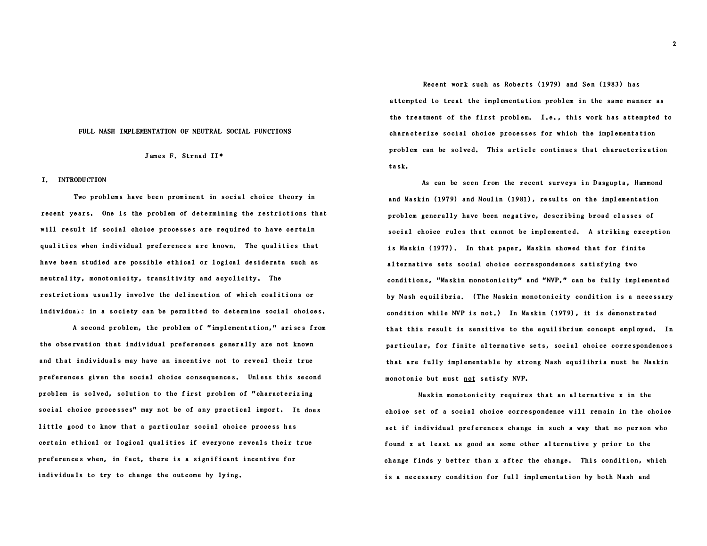#### FULL NASH IMPLEMENTATION OF NEUTRAL SOCIAL FUNCTIONS

#### James F. Strnad II•

#### I. INTRODUCTION

Two problems have been prominent in social choice theory in recent years. One is the problem of determining the restrictions that will result if social choice processes are required to have certain qualities when individual preferences are known. The qualities that have been studied are possible ethical or logical desiderata such as neutrality, monotonicity, transitivity and acyclicity. The restrictions usually involve the delineation of which coalitions or individuals in a society can be permitted to determine social choices.

A second problem, the problem of " implementation, " ari ses from the observation that individual preferences generally are not known and that individuals may have an incentive not to reveal their true preferences given the social choice consequences. Unless this second problem is solved, solution to the f irst problem of " characterizing social choice processes" may not be of any practical import. It does little good to know that a particular social choice process has certain ethical or logical qualities if everyone reveals their true preference s when, in fact, there is a significant incentive for individuals to try to change the outcome by lying.

Recent work such as Roberts (1979) and Sen (1983) has attempted to treat the implementation problem in the same manner as the treatment of the first problem. I.e., this work has attempted to characterize social choice processes for which the implementation problem can be solved. This article continues that characterization ta sk,

As can be seen from the recent surveys in Dasgupta, Hammond and Maskin (1979) and Moulin (1981), results on the implementation problem generally have been ne gat ive, describing broad classes of social choice rules that cannot be implemented. A striking exception is Maskin (1977). In that paper, Maskin showed that for finite alternative sets social choice correspondences satisfying two conditions, "Maskin monotonicity" and "NVP, " can be fully implemented by Nash equilibria, ( The Maskin monotonicity condition is a necessary condition while NVP is not.) In Maskin (1979), it is demonstrated that this result is sensitive to the equilibrium concept employed. In particular, for finite alternative sets, social choice correspondences that are fully implementable by strong Nash equil ibria must be Maskin monotonic but must not satisfy NVP.

Maskin monotonicity requires that an alternative  $x$  in the choice set of a social choice correspondence will remain in the choice set if individual preferences change in such a way that no person who found x at least as good as some other alternative y prior to the change finds y better than x after the change. This condition, which is a necessary condition for full implementation by both Nash and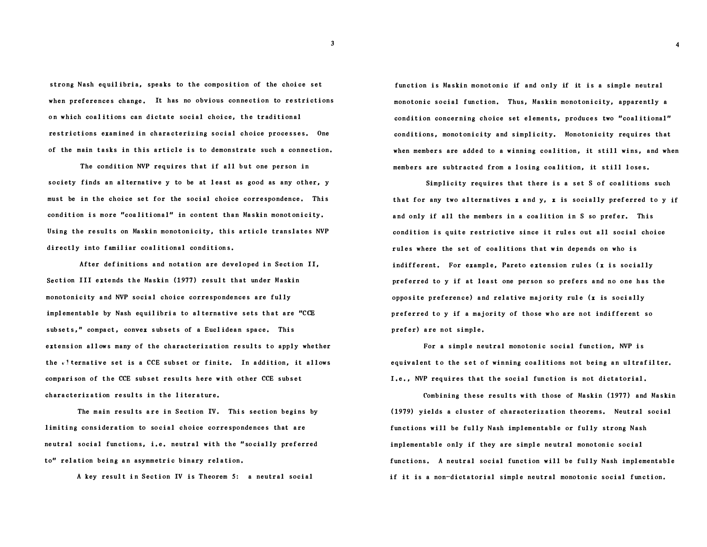strong Nash equilibria, speaks to the composition of the choice set when preferences change, It has no obvious connection to restrictions on which coal itions can dictate social choice, the traditional restrictions examined in characterizing social choice processes. One of the main tasks in this article is to demonstrate such a connection.

The condition NVP requires that if all but one person in society finds an alternative y to be at least as good as any other, y must be in the choice set for the social choice correspondence, This condition is more "coalitional" in content than Maskin monotonicity. Using the results on Maskin monotonicity, this article translates NVP directly into familiar coalitional conditions.

After definitions and notation are developed in Section II, Section III extends the Maskin ( 1977) result that under Maskin monotonicity and NVP social choice correspondences are fully implementable by Nash equilibria to alternative sets that are "CCE sub sets," compact, convex s ubsets of a Eucl idean space. This extension allows many of the characterization results to apply whether the *v*! ternative set is a CCE subset or finite. In addition, it allows compari son of the CCE subset results here with other CCE subset characterization results in the literature.

The main results are in Section IV. This section begins by limiting consideration to social choice correspondences that are neutral social functions, i.e. neutral with the "socially preferred to" relation being an asymmetric binary relation.

A key result in Section IV is Theorem 5: a neutral social

function is Maskin monotonic if and only if it is a simple neutral monotonic social function. Thus, Maskin monotonicity, apparently a condition concerning choice set elements, produces two "coal itional" conditions, monotonicity and simplicity. Monotonicity requires that when members are added to a winning coalition, it still wins, and when members are subtracted from a losing coalition, it still loses.

Simplicity requires that there is a set S of coalitions such that for any two alternatives  $x$  and  $y$ ,  $x$  is socially preferred to  $y$  if and only if all the members in a coalition in S so prefer. This condition is quite restrictive since it rules out all social choice rules where the set of coalitions that win depends on who is indifferent. For example, Pareto extension rules ( $x$  is socially preferred to y if at least one person so prefers and no one has the opposite preference) and relative majority rule  $(x$  is socially preferred to y if a majority of those who are not indifferent so prefer) are not simple.

For a simple neutral monotonic social function, NVP is equivalent to the set of winning coalitions not being an ultrafilter. I.e., NVP requires that the social function is not dictatorial.

Combining these results with those of Maskin (1977) and Maskin ( 1979) yields a cluster of characterization theorems. Neutral social functions will be fully Nash implementable or fully strong Nash implementable only if they are simple neutral monotonic social functions. A neutral social function will be fully Nash implementable if it is a non-dictatorial simple neutral monotonic social function.

3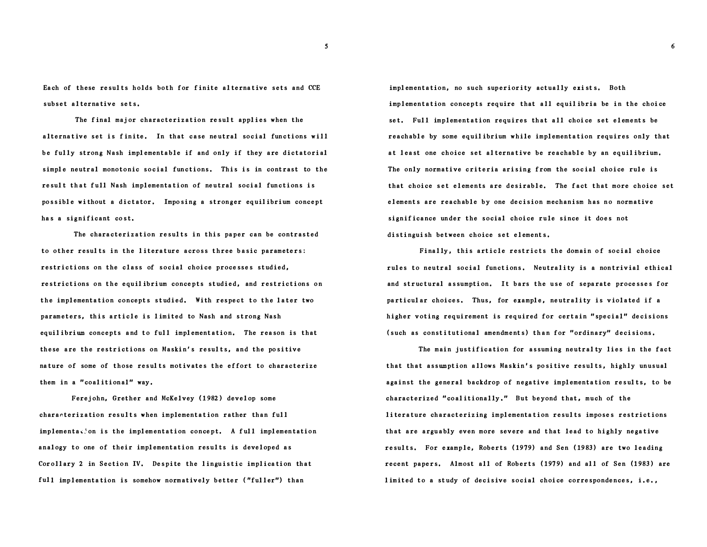Each of these results holds both for finite alternative sets and CCE subset alternative sets.

The final major characterization result applies when the alternative set is finite. In that case neutral social functions will be fully strong Nash implementable if and only if they are dictatorial simple neutral monotonic social functions. This is in contrast to the result that full Nash implementation of neutral social functions is possible without a dictator. Imposing a stronger equilibrium concept has a significant cost.

The characterization results in this paper can be contrasted to other results in the literature across three basic parameters: restrictions on the class of social choice processes studied, restrictions on the equil ibrium concepts studied, and restrictions on the implementation concepts studied. With respect to the later two parameters, this article is limited to Nash and strong Nash equil ibrium concepts a nd to full implementation, The reason is that these are the restrictions on Maskin's results, and the positive nature of some of those resul ts motivates the effort to characterize them in a "coalitional" way.

Ferejohn, Grether and McKelvey (1982) develop some characterization results when implementation rather than full  $implementa,$  implementation concept. A full implementation anal ogy to one of their implementation results is developed as Corollary 2 in Section IV. Despite the linguistic implication that full implementation is somehow normatively better ("fuller") than

implementation, no such superiority actually exists. Both implementa tion concepts require that all equil ibria be in the choice set. Full implementation requires that all choice set elements be reachable by some equil ibrium while implementation requires only that at least one choice set alternative be reachable by an equilibrium. The only normative criteria arising from the social choice rule is that choice set elements are desirable. The fact that more choice set elements are reachable by one decision mechanism has no normative signif icance under the social choice rule since it does not distingui sh between choice set elements,

Finally, this article restricts the domain of social choice rules to neutral social functions. Neutrality is a nontrivial ethical and structural assumption. It bars the use of separate processes for particular choices. Thus, for example, neutrality is violated if a higher voting requirement is required for certain "special" decisions (such as constitutional amendments) than for "ordinary" decisions.

The main justification for assuming neutral ty lies in the fact that that assumption allows Maskin's positive results, highly unusual against the general backdrop of negative implementation resul ts, to be characterized "coalitionally." But beyond that, much of the literature characterizing implementation results imposes restrictions that are arguably even more severe and that lead to highly negative results. For example, Roberts (1979) and Sen (1983) are two leading recent papers, Almost all of Roberts (1979) and all of Sen (1983) are limited to a study of decisive social choice correspondences, i.e.,

5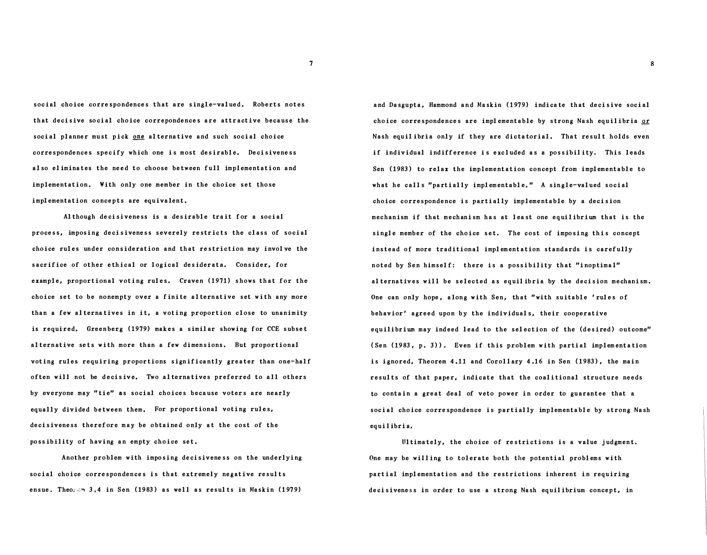social choice correspondences that are single-val ued, Roberts notes that decisive so cial choice correpondences are attractive because the social planner must pick one alternative and such social choice correspondences specify which one is most desirable, Decisiveness also eliminates the need to choose between full implementation and implementation. With only one member in the choice set those implementation concepts are equivalent,

Although decisiveness is a desirable trait for a social process, imposing decisiveness severely restricts the class of social choice rules under con sideration and that restriction may invol ve the sacrifice of other ethical or logical desiderata. Consider, for example, proportional voting rules. Craven (1971) shows that for the choice set to be nonempty over a finite alternative set with any more than a few alternatives in it, a voting proportion close to unanimity is required, Greenberg ( 1979) makes a simil ar showing for CCE subset alternative sets with more than a few dimensions. But proportional voting rules requiring proportions significantly greater than one-half often will not be decisive. Two alternatives preferred to all others by everyone may " tie" as social choices because voters are nearly equally divided between them. For proportional voting rules, decisiveness therefore may be obtained only at the cost of the 'po ssibility of having an empty choice set,

Another problem with impo sing decisiveness on the underlying social choice correspondences is that extremely negative results ensue. Theo $\zeta \circ \eta$  3.4 in Sen (1983) as well as results in Maskin (1979)

and Dasgupta, Hammond and Maskin (1979) indicate that decisive social choice correspondences are implementable by strong Nash equilibria  $or$ Nash equilibria only if they are dictatorial. That result holds even if individual indifference is excluded as a possibility. This leads Sen ( 1983) to relax the implementation concept from implementable to what he calls "partially implementable." A single-valued social choice correspondence is partially implementable by a decision mechanism if that mechanism has at l east one equilibrium that is the single member of the choice set. The cost of imposing this concept instead of more traditional implementation standards is carefully noted by Sen himself: there is a possibility that "inoptimal" al ternatives will be selected as equil ibria by the decision mechanism . One can only hope, along with Sen, that "with suitable ' rules of behavior' agreed upon by the individuals, their cooperative equilibrium may indeed lead to the selection of the (desired) outcome" (Sen  $(1983, p. 3)$ ). Even if this problem with partial implementation is ignored, Theorem 4.11 and Corollary 4.16 in Sen (1983), the main results of that paper, indicate that the coalitional structure needs to contain a great deal of veto power in order to guarantee that a social choice correspondence is partially implementable by strong Nash equilibria.

Ultimately, the choice of restrictions is a value judgment, One may be willing to tolerate both the potential problems with partial implementation and the restrictions inherent in requiring decisiveness in order to use a strong Nash equilibrium concept, in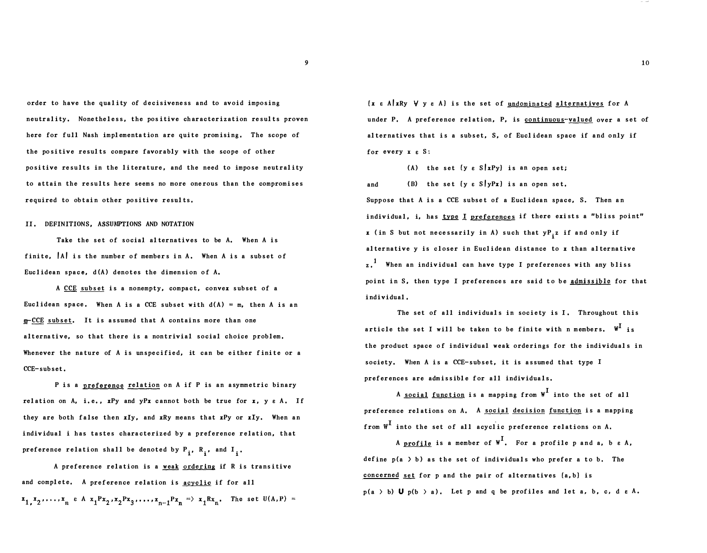order to have the quality of decisiveness and to avoid imposing neutrality. Nonetheless, the positive characterization results proven here for full Nash implementation are quite promising. The scope of the po sitive resul ts compare favorably with the scope of other positive results in the literature, and the need to impose neutrality to attain the results here seems no more onerous than the compromises required to obtain other positive results,

#### II. DEFINITIONS, ASSUMPTIONS AND NOTATION

Take the set of social al ternatives to be A. When A is finite,  $|A|$  is the number of members in A. When A is a subset of Euclidean space,  $d(A)$  denotes the dimension of  $A$ .

A CCE subset is a nonempty, compact, convex subset of a Euclidean space. When A is a CCE subset with  $d(A) = m$ , then A is an m-CCE subset. It is assumed that A contains more than one alternative, so that there is a nontrivial social choice problem , Whenever the nature of  $A$  is unspecified, it can be either finite or a CCE-sub set.

P is a preference relation on A if P is an asymmetric binary relation on A, i.e.,  $xPy$  and  $yPx$  cannot both be true for  $x$ ,  $y \in A$ . If they are both false then xly, and xRy means that xPy or xly. When an indiv idual i has tastes chara cterized by a preference relation, that preference relation shall be denoted by  $P_{i}$ ,  $R_{i}$ , and  $I_{i}$ .

A preference relation is a weak ordering if R is transitive and complete. A preference relation is acyclic if for all  $x_1, x_2, \ldots, x_n$   $\in A$   $x_1Px_2, x_2Px_3, \ldots, x_{n-1}Px_n \implies x_1Rx_n$ . The set  $U(A, P) =$ 

 $\{x \in A \mid xRy \quad \forall y \in A\}$  is the set of undominated alternatives for A under P. A preference relation, P, is continuous-valued over a set of al ternatives that is a subset, S, of Euclidean space if and only if for every  $x \in S$ :

(A) the set  $\{y \in S | xPy\}$  is an open set;

and (B) the set  $\{y \in S | yPx\}$  is an open set. Suppose that A is a CCE subset of a Eucl idean space, S. Then an individual, i, has type I preferences if there exists a "bliss point" **x** (in S but not necessarily in A) such that  $yP_{i}z$  if and only if alternative  $y$  is closer in Euclidean distance to  $x$  than alternative z.<sup>1</sup> When an individual can have type I preferences with any bliss point in S, then type I preferences are said to be admissible for that individual,

The set of all individuals in society is I. Throughout this article the set I will be taken to be finite with n members.  $\boldsymbol{\mathsf{w}}^\text{I}$  is the product space of individual weak orderings for the individuals in society. When A is a CCE-subset, it is assumed that type I prefer ences are admissible for all indiv iduals.

A social function is a mapping from  $W<sup>L</sup>$  into the set of all preference relations on A. A social decision function is a mapping from  $W^{\text{I}}$  into the set of all acyclic preference relations on A.

A profile is a member of  $\mathbb{W}^{\text{I}}$ . For a profile p and a, b  $\varepsilon$  A, define  $p(a \gt b)$  as the set of individuals who prefer a to b. The concerned set for  $p$  and the pair of alternatives  ${a, b}$  is  $p(a \rightarrow b)$  U  $p(b \rightarrow a)$ . Let p and q be profiles and let a, b, c, d  $\varepsilon$  A.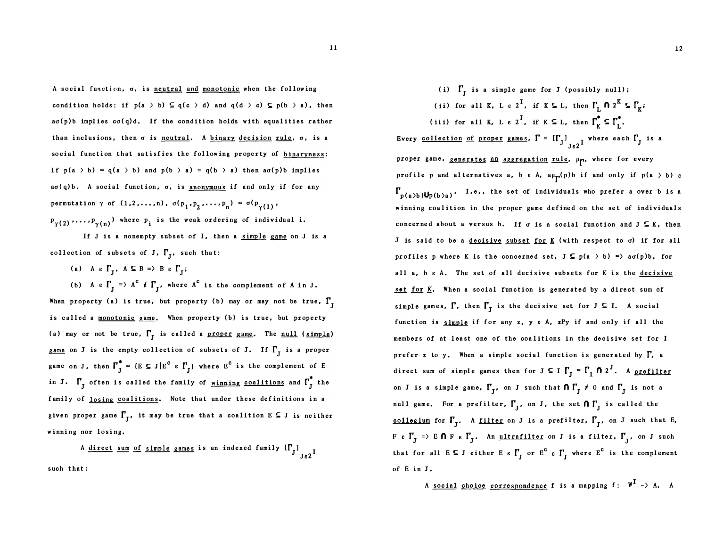A social function,  $\sigma$ , is neutral and monotonic when the following condition holds: if  $p(a \gt b) \subseteq q(c \gt d)$  and  $q(d \gt c) \subseteq p(b \gt a)$ , then  $a\sigma(p)$ b implies  $c\sigma(q)d$ , If the condition holds with equalities rather than inclusions, then  $\sigma$  is neutral. A binary decision rule,  $\sigma$ , is a social function that satisfies the following property of binaryness: if  $p(a \gt b) = q(a \gt b)$  and  $p(b \gt a) = q(b \gt a)$  then  $a\sigma(p)b$  implies  $a\sigma(q)b$ . A social function,  $\sigma$ , is anonymous if and only if for any permutation  $\gamma$  of  $(1, 2, ..., n)$ ,  $\sigma(p_1, p_2, ..., p_n) = \sigma(p_{\gamma(1)},$  $P_{\gamma(2)}, \ldots, P_{\gamma(n)})$  where  $p_i$  is the weak ordering of individual i.

If J is a nonempty subset of I, then a simple game on J is a collection of subsets of J,  $\Gamma_{\overline{\textsf{J}}}$ , such that:

(a) A  $\epsilon$   $\Gamma_{J}$ , A  $\subseteq$  B => B  $\epsilon$   $\Gamma_{J}$ ;

(b) A e  $\Gamma_J$  => A<sup>c</sup>  $\neq$   $\Gamma_J$ , where A<sup>c</sup> is the complement of A in J. When property (a) is true, but property (b) may or may not be true,  $\Gamma_{I}$ is called a monotonic game. When property (b) is true, but property (a) may or not be true,  $\Gamma_{\text{J}}$  is called a <u>proper game</u>. The <u>null</u> (simple) <u>game</u> on **J** is the empty collection of subsets of **J**. If  $\Gamma_{\text{J}}$  is a proper game on J, then  $\Gamma_J^* = \{ E \subseteq J | E^c \in \Gamma_J \}$  where  $E^c$  is the complement of E in J.  $\Gamma_{\text{J}}$  often is called the family of <u>winning coalitions</u> and  $\Gamma_{\text{J}}^{\text{*}}$  the family of losing coalitions. Note that under these definitions in a given proper game  $\Gamma_{\rm J}$ , it may be true that a coalition E  $\subseteq$  J is neither w inning nor losing,

A <u>direct sum of simple games</u> is an indexed family  $[\Gamma_{\text{J}}]_{\text{J}e2}$ I such that:

### (i)  $\Gamma_{\text{J}}$  is a simple game for J (possibly null);

(ii) for all K, L  $\epsilon$  2<sup>I</sup>, if K  $\subseteq$  L, then  $\Gamma$ <sub>L</sub>  $\cap$  2<sup>K</sup>  $\subseteq$   $\Gamma$ <sub>K</sub>;

(iii) for all K, L  $\epsilon$  2<sup>I</sup>, if K  $\subseteq$  L, then  $\Gamma_K^* \subseteq \Gamma_L^*$ . Every <u>collection of proper games</u>,  $\Gamma = \left[\Gamma_{J}\right]_{J\in 2}$  where each  $\Gamma_{J}$  is a proper game, <u>generates an aggregation</u> rule,  $\mu_{\Gamma}$ , where for every profile p and alternatives a, b  $\varepsilon$  A,  $a\mu_{\prod}(p)$ b if and only if  $p(a \gt b)$   $\varepsilon$  $\Gamma_{p(a/b)}U_{p(b)a}$ . I.e., the set of individuals who prefer a over b is a winning coalition in the proper game defined on the set of individuals concerned about a versus b. If  $\sigma$  is a social function and  $J \subseteq K$ , then J is said to be a decisive subset for  $K$  (with respect to  $\sigma$ ) if for all profiles p where K is the concerned set,  $J \subseteq p(a \gt b) \Rightarrow a\sigma(p)b$ , for all a, b  $\varepsilon$  A. The set of all decisive subsets for K is the decisive set for K. When a social function is generated by a direct sum of simple games,  $\Gamma$ , then  $\Gamma_{\rm J}$  is the decisive set for J  $\subseteq$  I. A social function is simple if for any  $x$ ,  $y \in A$ ,  $xPy$  if and only if all the members of at least one of the coalitions in the decisive set for I prefer x to y. When a simple social function is generated by  $\Gamma$ , a direct sum of simple games then for  $J \subseteq I \rightharpoondown_{J} = \Gamma_I \rightharpoondown_{I} 0$  2<sup>J</sup>. A <u>prefilter</u> on J is a simple game,  $\Gamma_{\text{J}}$ , on J such that  $\bigcap \Gamma_{\text{J}} \neq 0$  and  $\Gamma_{\text{J}}$  is not a null game. For a prefilter,  $\Gamma_{\text{J}}$ , on J, the set  $\textsf{f} \mid \Gamma_{\text{J}}$  is called the <u>collegium</u> for  $\Gamma_{\tt J}$ . A <u>filter</u> on J is a prefilter,  $\Gamma_{\tt J}$ , on J such that E<sub>1</sub>  $F$   $\epsilon$   $\Gamma_J$   $\Rightarrow$   $E$   $\mathbf{0}$   $F$   $\epsilon$   $\Gamma_J$ . An <u>ultrafilter</u> on J is a filter,  $\Gamma_J$ , on J such that for all  $E \subseteq J$  either  $E \in \Gamma_J$  or  $E^C \in \Gamma_J$  where  $E^C$  is the complement of E in J.

A social choice correspondence f is a mapping  $f: W^I \rightarrow A$ . A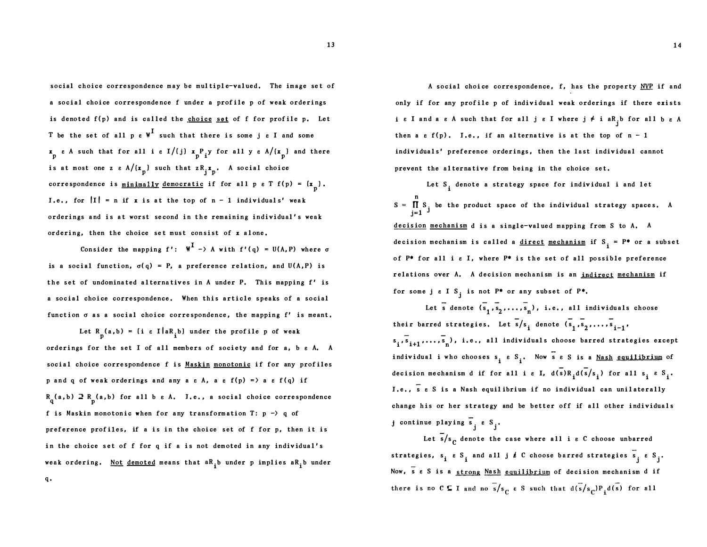social choice correspondence may be multiple-valued, The image set of a social choice correspondence f under a profile p of weak orderings is denoted  $f(p)$  and is called the choice set of f for profile p. Let T be the set of all  $p e W^I$  such that there is some je I and some  $\mathbf{x}_p$  e A such that for all i e I/(j)  $\mathbf{x}_p$ P<sub>i</sub>y for all y e A/ $\mathbf{x}_p$ ) and there is at most one z  $\epsilon A / (x_p)$  such that  $z R_j x_p$ . A social choice correspondence is <u>minimally democratic</u> if for all  $p e T f(p) = {x \choose p}$ . I.e., for  $|I| = n$  if x is at the top of  $n - 1$  individuals' weak orderings and is at worst second in the remaining individual 's weak ordering, then the choice set must consist of x alone,

Consider the mapping f':  $W^{\mathbf{I}} \rightarrow A$  with  $f'(q) = U(A, P)$  where  $\sigma$ is a social function,  $\sigma(q) = P$ , a preference relation, and  $U(A, P)$  is the set of undominated alternatives in A under P. This mapping f' is a social choice correspondence. When this article speaks of a social function  $\sigma$  as a social choice correspondence, the mapping  $f'$  is meant.

Let  $R_p(a, b) = \{i \in I | aR_i b\}$  under the profile p of weak orderings for the set I of all members of society and for a, b e A. A social choice correspondence f is Maskin monotonic if for any profiles p and q of weak orderings and any a  $\varepsilon$  A, a  $\varepsilon$  f(p) = > a  $\varepsilon$  f(q) if  $R_q(a,b) \supset R_p(a,b)$  for all b  $\varepsilon$  A. I.e., a social choice correspondence f is Maskin monotonic when for any transformation T:  $p \rightarrow q$  of preference profiles, if a is in the choice set of f for p, then it is in the choice set of f for q if a is not demoted in any individual's weak ordering. <u>Not demoted</u> means that a $\mathrm{R_{i}^{\phantom{\dag}}}$  under p implies a $\mathrm{R_{i}^{\phantom{\dag}}}$  under

q.

A social choice correspondence, f, has the property  $NVP$  if and only if for any profile p of individual weak orderings if there exists i e I and a e A such that for all je I where  $j \neq i$  a R<sub>j</sub>b for all b e A then a  $\varepsilon$  f(p). I.e., if an alternative is at the top of  $n - 1$ individuals' preference orderings, then the last individual cannot prevent the alternative from being in the choice set.

s Let  $S_i$  denote a strategy space for individual i and let n  $\prod S$ , be the product space of the individual strategy spaces. A  $j=1$ <sup>J</sup> decision mechanism d is a single-valued mapping from S to A. A decision mechanism is called a <u>direct</u> mechanism if  $S_i = P^*$  or a subset of  $P^*$  for all i  $\varepsilon$  I, where  $P^*$  is the set of all possible preference relations over A, A decision mechanism is an indirect mechanism if for some j  $\epsilon$  I S<sub>i</sub> is not P<sup>\*</sup> or any subset of P<sup>\*</sup>.

Let s denote  $(s_1, s_2, \ldots, s_n)$ , i.e., all individuals choose their barred strategies. Let  $\overline{s}/s_{\mathbf{i}}$  denote  $(\overline{s}_{1}, \overline{s}_{2}, \ldots, \overline{s}_{\mathbf{i-1}})$ s<sub>i</sub>, s<sub>i+1</sub>,..., s<sub>n</sub>, i.e., all individuals choose barred strategies except ind ividual i who chooses s<sub>i</sub>e S<sub>i</sub>. Now se S is a <u>Nash equilibrium</u> of decision mechanism d if for all i  $\varepsilon$  I,  $d(s)R_i d(s/s_i)$  for all  $s_i \varepsilon S_i$ . I.e., s e S is a Nash equilibrium if no individual can unilaterally change his or her strategy and be better off if all other individuals

continue playing  $s_j e S_j$ .

Let  $\overline{s}/s$  denote the case where all i e C choose unbarred strategies, s<sub>i</sub> e S<sub>i</sub> and all j  $\ell$  C choose barred strategies s<sub>j</sub> e S<sub>j</sub>. Now,  $\overline{s}$  e S is a strong Nash equilibrium of decision mechanism d if there is no C  $\subseteq$  I and no  $\frac{1}{s}/s$   $\in$  S such that  $d(\frac{s}{s}/s)P_1d(\frac{s}{s})$  for all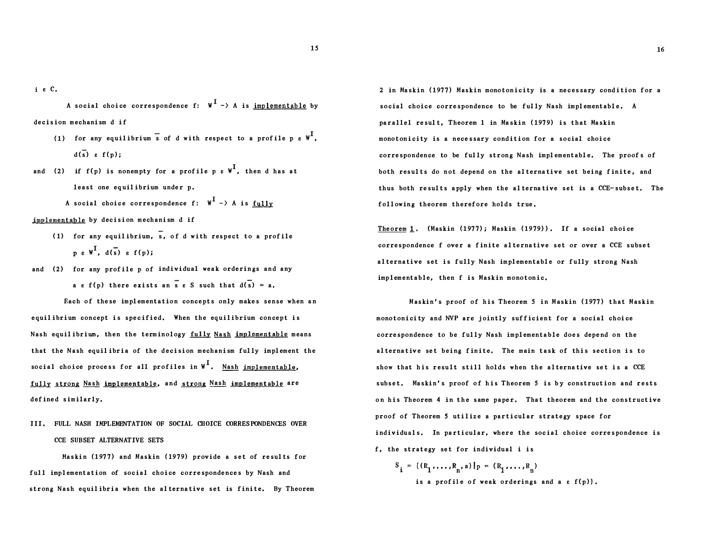i e C.

A social choice correspondence f:  $W^I \rightarrow A$  is implementable by de cision mechanism d if

- (1) for any equilibrium s of d with respect to a profile p  $\epsilon \Psi^{\text{I}}$ ,  $d(\overline{s})$   $g(f(n))$ :
- and (2) if  $f(p)$  is nonempty for a profile  $p$   $e\,$   $\mathbb{W}^{\mathbf{I}}$ , then d has at least one equilibrium under p.
	- A social choice correspondence f:  $W^I \rightarrow A$  is fully

implementable by dec ision mechanism d if

- ( 1) for any equil ibrium, s, of d with respect to a prof ile  $p e W^{\text{I}}$ ,  $d(\overline{s}) e f(p)$ ;
- and (2) for any profile p of individual weak orderings and any a e f(p) there exists an s e S such that  $d(s) = a$ .

Each of these implementation concepts only makes sense when an equilibrium concept is specified. When the equilibrium concept is Nash equilibrium, then the terminology fully Nash implementable means that the Nash equil ibria of the decision mechanism fully implement the social choice process for all profiles in  $W^I$ . Nash implementable, fully strong Nash implementable, and strong Nash implementable are defined similarly.

III. FULL NASH IMPLEMENTATION OF SOCIAL CHOICE CORRESPONDENCES OVER CCE SUBSET ALTERNATIVE SETS

Maskin (1977) and Maskin ( 1979) provide a set of results for full implementation of social choice correspondences by Nash and strong Nash equilibria when the alternative set is finite. By Theorem

2 in Maskin (1977) Maskin monotonicity is a necessary condition for a social choice correspondence to be fully Nash implementable, A parallel result. Theorem 1 in Maskin (1979) is that Maskin monotonicity is a necessary condition for a social choice correspondence to be fully strong Nash implementable. The proofs of both results do not depend on the alternative set being finite, and thus both results apply when the alternative set is a CCE-subset. The following theorem therefore holds true.

Theorem 1. (Maskin (1977); Maskin (1979)). If a social choice correspondence f over a f inite a lternative set or over a CCE subset a lternative set is fully Nash implementable or fully strong Nash implementable, then f is Maskin monotonic,

Maskin's proof of his Theorem 5 in Maskin (1977) that Maskin monotonicity and NVP are jointly sufficient for a social choice correspondence to be fully Nash implementable does depend on the alternative set being finite. The main task of this section is to show that his result still holds when the alternative set is a CCE subset. Maskin's proof of his Theorem 5 is by construction and rests on his Theorem 4 in the same paper, That theorem and the constructive proof of Theorem S utilize a particular strategy space for individuals. In particular, where the social choice correspondence is f, the strategy set for individual i is

 $S_i = ((R_1, ..., R_n, a) | p = (R_1, ..., R_n)$ is a profile of weak orderings and a  $\varepsilon f(p)$ .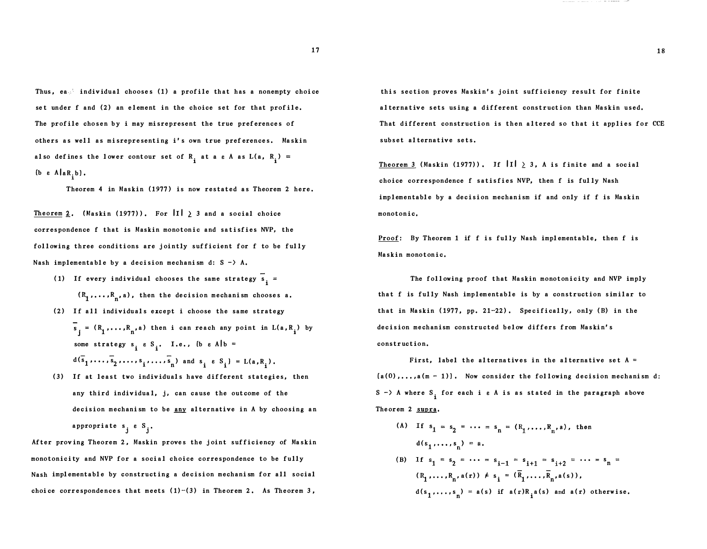Thus, ea.<sup>3</sup> individual chooses (1) a profile that has a nonempty choice set under f and (2) an element in the choice set for that profile. The profile chosen by i may misrepresent the true preferences of others as well as misrepre senting i ' s own true pref erences. Maskin also defines the lower contour set of  $R_i$  at a  $\varepsilon$  A as  $L(a, R_i)$  $\left(\begin{smallmatrix} b & e & A \end{smallmatrix}\right)$  and  $\left(\begin{smallmatrix} b & b \end{smallmatrix}\right)$ .

Theorem 4 in Maskin (1977) is now restated as Theorem 2 here.

Theorem 2. (Maskin (1977)). For  $\left|1\right| \geq 3$  and a social choice correspondence f that is Maskin monotonic and satisfies NVP, the following three conditions are jointly sufficient for f to be fully Nash implementable by a decision mechanism d:  $S \rightarrow A$ .

- (1) If every individual chooses the same strategy  $s_i =$  $(R_1, \ldots, R_n, a)$ , then the decision mechanism chooses a. (2) If all individuals except i choose the same strategy
- $(R_1, \ldots, R_n, a)$  then i can reach any point in  $L(a, R_i)$  by some strategy  $s_i \times S_i$ . I.e.,  $\{b \times A\}$  =  $d(\bar{s}_1, ..., \bar{s}_2, ..., s_i, ..., \bar{s}_n)$  and  $s_i \geq S_i$  = L(a,R<sub>i</sub>).
- (3) If at least two individuals have different stategies, then any third individual, j, can cause the outcome of the decision mechanism to be any alternative in A by choosing an appropriate s<sub>j</sub> e S<sub>j</sub>.

After proving Theorem 2, Maskin proves the joint sufficiency of Maskin monotonicity and NVP for a social choice correspondence to be fully Nash implementable by constructing a decision mechanism for all social choice correspondences that meets  $(1)-(3)$  in Theorem 2. As Theorem 3,

this section proves Maskin's joint sufficiency result for finite alternative sets using a different construction than Maskin used. That different construction is then altered so that it applies for CCE subset alternat ive sets.

Theorem 3 (Maskin (1977)). If  $||1|| \geq 3$ , A is finite and a social choice correspondence f satisfies NVP, then f is ful ly Nash implementable by a decision mechanism if and only if f is Maskin monotonic,

Proof: By Theorem 1 if f is fully Nash implementable, then f is Maskin monotonic,

The foll owing proof that Mastin monotonicity and NVP imply that f is fully Nash implementable is by a construction similar to that in Maskin (1977, pp. 21-22). Specifically, only (B) in the de cision me chanism constructed below differs from Maskin' s construction.

First, label the alternatives in the alternative set  $A =$  $(a(0),...,a(m-1))$ . Now consider the following decision mechanism d: S -> A where S<sub>i</sub> for each i e A is as stated in the paragraph above The orem 2 supra,

(A) If  $s_1 = s_2 = \cdots = s_n$  $d(s_1,...,s_n) = a.$ s<br>n  $(R_1, ..., R_n, a(r)) \neq s_i = (R_1, ..., R_n, a(s)),$  $d(s_1, \ldots, s_n) = a(s)$  if  $a(r)R_i(a(s))$  and  $a(r)$  otherwise.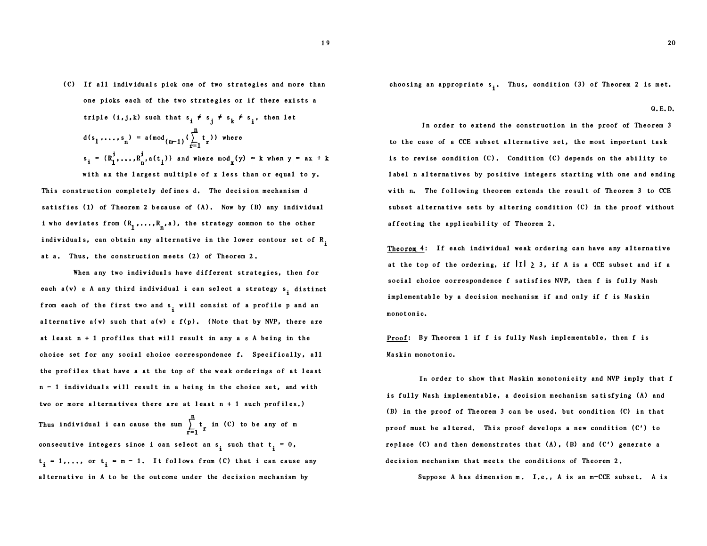( C) If all indiv idual s pick one of two strategies and more than one picks each of the two strategies or if there exists a triple  $(i, j, k)$  such that  $s_i \neq s_j \neq s_k \neq s_i$ , then let n  $d(s_1, ..., s_n) = a (\mod_{(m-1)} (\sum_{r=1}^n$ t r )) where  $s_i$  = with ax the largest multiple of x less than or equal to y.

This construction completely defines d. The decision mechanism d satisfies  $(1)$  of Theorem 2 because of  $(A)$ . Now by  $(B)$  any individual i who deviates from  $(R_{1}^{1},\ldots,R_{n^{s}}^{n})$ , the strategy common to the other individuals, can obtain any alternative in the lower contour set of  $\mathtt{R}_\mathtt{i}$ at a. Thus, the construction meets (2) of Theorem 2.

When any two individuals have different strategies, then for each  $a(v)$  e A any third individual i can select a strategy  $s_i$  distinct from each of the first two and  $s_i$  will consist of a profile p and an alternative a(v) such that  $a(v)$  e  $f(p)$ . (Note that by NVP, there are at least  $n + 1$  profiles that will result in any a  $\varepsilon$  A being in the choice set for any social choice correspondence f, Specifically, all the profiles that have a at the top of the weak orderings of at least n - 1 indiv iduals will result in a being in the choice set, and with two or more alternatives there are at least  $n + 1$  such profiles.) Thus individual i can cause the sum  $\sum_{i=1}^{n} t_{\Gamma}$  in (C) to be any of m r=l consecutive integers since i can select an  $s_i$  such that  $t_i = 0$ ,  $t_i = 1, \ldots$ , or  $t_i = m - 1$ . It follows from (C) that i can cause any alternative in A to be the out come under the decision mechanism by

choosing an appropriate s<sub>i</sub>. Thus, condition (3) of Theorem 2 is met.

Q.E. D.

In order to extend the construction in the proof of Theorem 3 to the case of a CCE subset alternative set, the most important task is to revise condition  $(C)$ . Condition  $(C)$  depends on the ability to label n alternatives by positive integers starting with one and ending with n. The following theorem extends the result of Theorem 3 to CCE subset alternative sets by altering condition (C) in the proof without affecting the applicability of Theorem 2.

Theorem 4: If each individual weak ordering can have any alternative at the top of the ordering, if  $\left|1\right| \geq 3$ , if A is a CCE subset and if a social choice correspondence f satisfies NVP, then f is fully Nash implementable by a decision mechanism if and only if f is Maskin monotonic.

Proof: By Theorem 1 if f is fully Nash implementable, then f is Maskin monotonic,

In order to show that Maskin monotonicity and NVP imply that f is fully Nash implementable, a decision mechanism satisfying (A) and ( B) in the proof of The orem 3 can be used, but condition (C) in that proof must be altered. This proof develops a new condition (C') to replace (C) and then demonstrates that  $(A)$ ,  $(B)$  and  $(C')$  generate a decision mechanism that meets the conditions of Theorem 2,

Suppose A has dimension m. I.e., A is an m-CCE subset. A is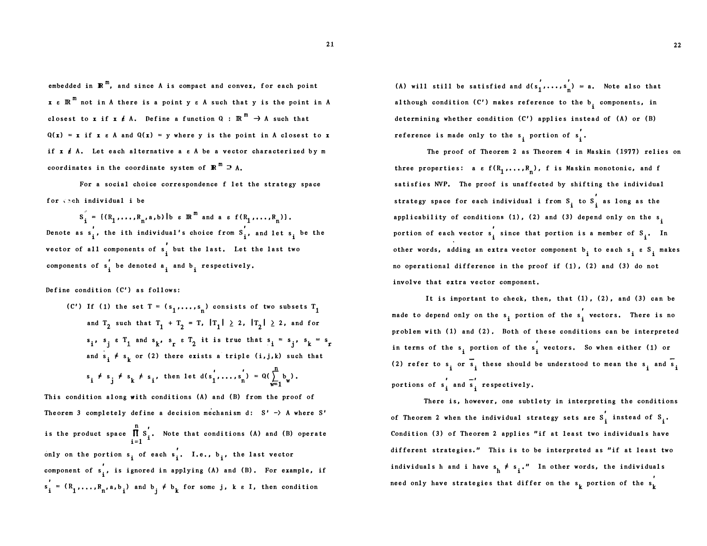embedded in  $\mathbb{R}^m$ , and since A is compact and convex, for each point  $x \in \mathbb{R}^m$  not in A there is a point  $y \in A$  such that  $y$  is the point in A closest to x if x  $\ell$  A. Define a function Q :  $\mathbb{R}^m \to A$  such that  $Q(x) = x$  if  $x \in A$  and  $Q(x) = y$  where y is the point in A closest to x if  $x \notin A$ . Let each alternative a  $\varepsilon$  A be a vector characterized by m coordinates in the coordinate system of  $\mathbb{R}^m \supseteq A$ .

For a social choice correspondence f let the strategy space for  $\zeta$ ach individual i be

 $S_i = \{ (R_1, \ldots, R_n, a, b) | b \in \mathbb{R}^m \text{ and a } \epsilon \text{ } f(R_1, \ldots, R_n) \}.$ Denote as  $s_i'$ , the ith individual's choice from  $s_i'$ , and let  $s_i$  be the vector of all components of s, but the last. Let the last two components of  $s'_1$  be denoted  $a_i$  and  $b_i$  respectively.

Define condition (C') as follows:

(C') If (1) the set  $T = (s_1, \ldots, s_n)$  consists of two subsets  $T_1$ and  $T_2$  such that  $T_1 + T_2 = T$ ,  $|T_1| \geq 2$ ,  $|T_2| \geq 2$ , and for  $s_i$ ,  $s_i$   $\epsilon$   $T_1$  and  $s_k$ ,  $s_r$   $\epsilon$   $T_2$  it is true that  $s_i = s_i$ ,  $s_k = s_r$ and  $s_i \neq s_k$  or (2) there exists a triple (i,j,k) such that  $\frac{n}{2}$  $s_i \neq s_j \neq s_k \neq s_i$ , then let  $d(s'_1, ..., s'_n) = Q(\sum_{w=1}^n b_w)$ .

This condition along with conditions (A) and (B) from the proof of Theorem 3 completely define a decision mechanism d:  $S' \rightarrow A$  where  $S'$ is the product space  $\prod_{i=1}^{n} s_i'$ . Note that conditions (A) and (B) operate  $i=1$ only on the portion s<sub>i</sub> of each s<sub>i</sub>. I.e., b<sub>i</sub>, the last vector component of  $s_i'$ , is ignored in applying (A) and (B). For example, if  $s'_i = (R_1, \ldots, R_n, a, b_i)$  and  $b_j \neq b_k$  for some j, k e I, then condition

(A) will still be satisfied and  $d(s_1', \ldots, s_n') = a$ . Note also that although condition (C') makes reference to the b<sub>i</sub>components, in determining whether condition (C') applies instead of (A) or (B) reference is made only to the s<sub>i</sub> portion of s<sub>i</sub>.

The proof of Theorem 2 as Theorem 4 in Maskin (1977) relies on three properties: a  $\varepsilon$  f(R<sub>1</sub>,...,R<sub>n</sub>), f is Maskin monotonic, and f satisfies NVP. The proof is unaffected by shifting the individual strategy space for each individual i from  $S_i$  to  $S_i^{'}$  as long as the applicability of conditions (1), (2) and (3) depend only on the s<sub>i</sub> portion of each vector  $s'_i$  since that portion is a member of  $s_i$ . In other words, adding an extra vector component b<sub>i</sub> to each s e S makes no operational difference in the proof if (1), (2) and (3) do not involve that extra vector component.

It is important to check, then, that (1), (2), and (3) can be made to depend only on the  $s_i$  portion of the  $s_i^{'}$  vectors. There is no problem with (1) and (2). Both of these conditions can be interpreted in terms of the  $s_i$  portion of the  $s_i'$  vectors. So when either (1) or (2) refer to  $s_i$  or  $s_i$  these should be understood to mean the  $s_i$  and  $s_i$ portions of  $s'_i$  and  $\overline{s}'_i$  respectively.

There is, however, one subtlety in interpreting the conditions of Theorem 2 when the individual strategy sets are  $S_i^{'}$  instead of  $S_i$ . Condition (3) of Theorem 2 applies "if at least two individuals have different strategies." This is to be interpreted as "if at least two individuals h and i have  $s_{\rm h}$   $\neq$  s<sub>i</sub>." In other words, the individuals need only have strategies that differ on the  $s_{\mathbf{k}}^{'}$  portion of the  $s_{\mathbf{k}}^{'}$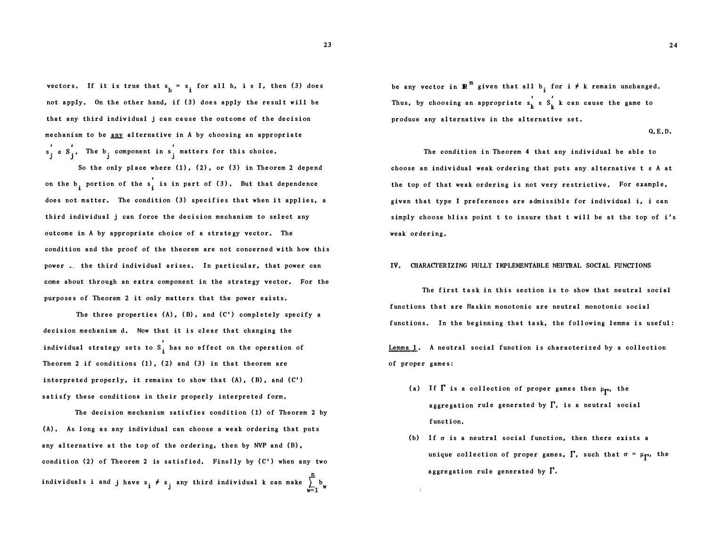vectors. If it is true that  $s_h = s_i$  for all h, i e I, then (3) does not apply. On the other hand, if (3) does apply the result will be that any third individual j can cause the outcome of the decision mechanism to be <u>any</u> alternative in A by choosing an appropriate The  $b_j$  component in s<sup>'</sup> matters for this choice.

So the only place where  $(1)$ ,  $(2)$ , or  $(3)$  in Theorem 2 depend on the  $b_i$  portion of the  $s_i'$  is in part of (3). But that dependence does not matter. The condition (3) specifies that when it applies, a third individual j can force the decision mechanism to select any outcome in A by appropriate choice of a strategy vector. The condition and the proof of the theorem are not concerned with how this power. the third individual arises. In particular, that power can come about through an extra component in the strategy vector, For the purposes of Theorem 2 it only matters that the power exists.

The three properties  $(A)$ ,  $(B)$ , and  $(C')$  completely specify a decision mechanism d. Now that it is clear that changing the individual strategy sets to  $S_i'$  has no effect on the operation of Theorem 2 if conditions  $(1)$ ,  $(2)$  and  $(3)$  in that theorem are interpreted properly, it remains to show that  $(A)$ ,  $(B)$ , and  $(C')$ satisfy these conditions in their properly interpreted form.

The decision mechanism satisfies condition (1) of Theorem 2 by (A), As long as any individual can choose a weak ordering that puts any alternative at the top of the ordering, then by NVP and (B), condition  $(2)$  of Theorem 2 is satisfied. Finally by  $(C')$  when any two individuals i and have  $s_i \neq s_j$  any third individual k can make  $\sum_{i=1}^{n} b_i$  $\frac{1}{w-1}$  w

be any vector in  $\mathbb{R}^m$  given that all  $b_i$  for i  $\neq$  k remain unchanged. Thus, by choosing an appropriate  $s_k' \varepsilon s_k'$  k can cause the game to produce any alternative in the alternative set.

Q.E.D.

The condition in Theorem 4 that any individual be able to choose an individual weak ordering that puts any alternative t e A at the top of that weak ordering is not very restrictive. For example, given that type I preferences are admissible for individual i, i can simply choose bliss point t to insure that t will be at the top of i's weak ordering.

#### IV. CHARACTERIZING FULLY IMPLEMENTABLE NEUTRAL SOCIAL FUNCTIONS

The first task in this section is to show that neutral social functions that are Maskin monotonic are neutral monotonic social functions. In the beginning that task, the following lemma is useful:

Lemma 1. A neutral social function is characterized by a collection of proper games:

- (a) If  $\Gamma$  is a collection of proper games then  $\mu_{\Gamma'}$ , the aggregation rule generated by  $\Gamma$ , is a neutral social function,
- (b) If  $\sigma$  is a neutral social function, then there exists a unique collection of proper games,  $\Gamma$ , such that  $\sigma = \mu_{\Gamma}$ , the aggregation rule generated by  $\Gamma$ .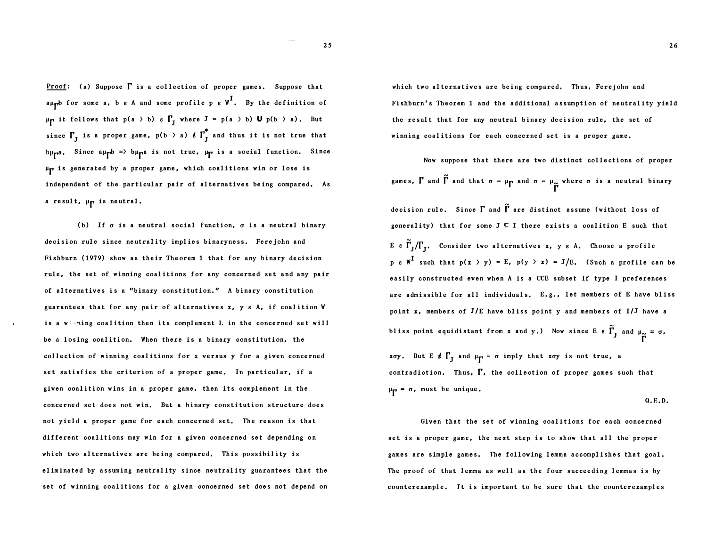**Proof:** (a) Suppose  $\Gamma$  is a collection of proper games. Suppose that  $a\mu$ <sub>T</sub>t for some a, b  $e$  A and some profile p  $e$  W<sup>1</sup>. By the definition of  $\mu_{\Gamma}$  it follows that  $p(a \gt b) e \Gamma_{J}$  where  $J = p(a \gt b) U p(b \gt a)$ . But since  $\Gamma_{\rm J}$  is a proper game,  $p(b \gt a)$   $t$   $\Gamma_{\rm J}^*$  and thus it is not true that Since aµ <sub>p</sub>b => bµ pa is not true, µ p is a social function. Since µ <sup>r</sup>is generated by a proper game, which coalitions win or lose is independent of the particular pair of alternatives being compared, As a result, µp is neutral.

(b) If  $\sigma$  is a neutral social function,  $\sigma$  is a neutral binary decision rule since neutrality implies binaryness, Ferejohn and Fishburn (1979) show as their Theorem 1 that for any binary decision rule, the set of winning coalitions for any concerned set and any pair of alternatives is a "binary constitution." A binary constitution guarantees that for any pair of alternatives x, y e A, if coalition W is a wighing coalition then its complement L in the concerned set will be a losing coalition, When there is a binary constitution, the collection of winning coalitions for x versus y for a given concerned set satisfies the criterion of a proper game. In particular, if a given coalition wins in a proper game, then its complement in the concerned set does not win. But a binary constitution structure does not yield a proper game for each concerned set. The reason is that different coalitions may win for a given concerned set depending on which two alternatives are being compared. This possibility is eliminated by assuming neutrality since neutrality guarantees that the set of winning coalitions for a given concerned set does not depend on

which two alternatives are being compared. Thus, Ferejohn and Fishburn's Theorem 1 and the additional assumption of neutrality yield the result that for any neutral binary decision rule, the set of winning coalitions for each concerned set is a proper game,

Now suppose that there are two distinct collections of proper games, I and I and that  $\sigma = \mu_{\mathbf{p}}$  and  $\sigma = \mu_{\mathbf{p}}$  where  $\sigma$  is a neutral binary decision rule. Since  $\Gamma$  and  $\tilde{\Gamma}$  are distinct assume (without loss of generality) that for some  $J \subseteq I$  there exists a coalition E such that E e  $\Gamma_J/\Gamma_J$ . Consider two alternatives x, y e A. Choose a profile  $p e W<sup>1</sup>$  such that  $p(x \gt y) = E$ ,  $p(y \gt x) = J/E$ . (Such a profile can be easily constructed even when A is a CCE subset if type I preferences are admissible for all individuals. E.g., let members of E have bliss point x, members of J/E have bliss point y and members of I/J have a bliss point equidistant from **x** and **y**.) Now since E  $\epsilon$   $\overline{\Gamma}_I$  and  $\mu_{\underline{\sim}} = \sigma$ , r

xoy. But E  $f_1$  and  $\mu_{\Gamma} = \sigma$  imply that xoy is not true, a contradiction. Thus,  $\Gamma$ , the collection of proper games such that  $\mu$ <sub>**p**</sub> = σ, must be unique.

$$
Q, E, D.
$$

Given that the set of winning coalitions for each concerned set is a proper game, the next step is to show that all the proper games are simple games, The following lemma accomplishes that goal. The proof of that lemma as well as the four succeeding lemmas is by counterexample. It is important to be sure that the counterexamples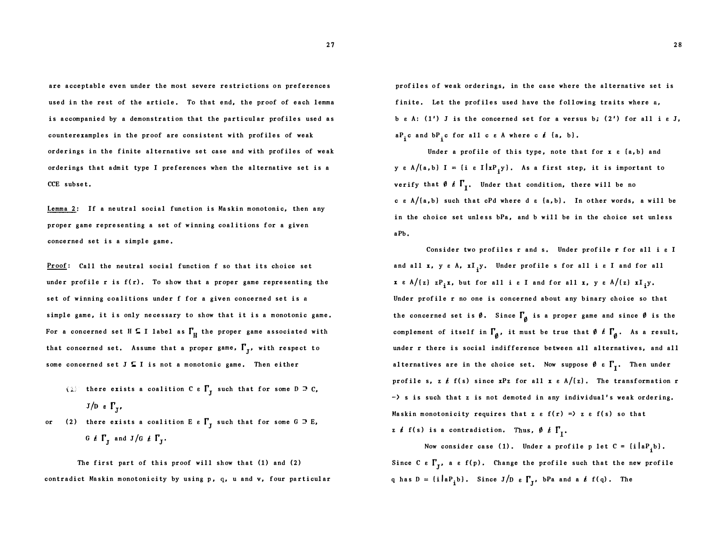are acceptable even under the most severe restrictions on preferences used in the rest of the article. To that end, the proof of each lemma is accompanied by a demonstration that the particular profiles used as counterexamples in the proof are consistent with profiles of weak orderings in the finite alternative set case and with profiles of weak orderings that admit type I preferences when the alternative set is a CCE subset,

Lemma 2: If a neutral social function is Maskin monotonic, then any proper game representing a set of winning coalitions for a given concerned set is a simple game,

Proof: Call the neutral social function f so that its choice set under profile  $r$  is  $f(r)$ . To show that a proper game representing the set of winning coalitions under f for a given concerned set is a simple game, it is only necessary to show that it is a monotonic game, For a concerned set H  $\subseteq$  I label as  $\Gamma_{\text{H}}$  the proper game associated with that concerned set. Assume that a proper game,  $\mathbf{I}'_{\mathbf{J}}$ , with respect to some concerned set  $J \subseteq I$  is not a monotonic game. Then either

- (1) there exists a coalition C  $\epsilon \Gamma_J$  such that for some D  $\supseteq$  C,  $J/D e \Gamma_{\tau}$
- or (2) there exists a coalition E  $\epsilon \Gamma_J$  such that for some G  $\supseteq$  E, G  $\ell$   $\Gamma$ <sub>J</sub> and J/G  $\ell$   $\Gamma$ <sub>J</sub>.

The first part of this proof will show that (1) and (2) contradict Mnskin monotonicity by using p, q, u and v, four particular profiles of weak orderings, in the case where the alternative set is finite. Let the profiles used have the following traits where a, b  $\varepsilon$  A: (1') J is the concerned set for a versus b; (2') for all i  $\varepsilon$  J,  ${}^{\mathbf{a}P}$ <sub>i</sub>c and  ${}^{\mathbf{b}P}$ <sub>i</sub>c for all c  $e$  A where c  $e$  {a, b}.

Under a profile of this type, note that for  $x e$   $(a, b)$  and y e A/[a,b] I = {i e I |xP<sub>i</sub>y}. As a first step, it is important to verify that  $\emptyset$   $\ell$   $\mathsf{I}^\prime_\mathrm{I}$ . Under that condition, there will be no c e  $A/(a, b)$  such that cPd where d  $\varepsilon$   $\{a, b\}$ . In other words, a will be in the choice set unless bPa, and b will be in the choice set unless aPb.

Consider two profiles r and s, Under profile r for all i e I and all **x**, y  $\varepsilon$  A,  $xI_jy$ . Under profile s for all i  $\varepsilon$  I and for all  $x \in A/(z)$   $zP_i x$ , but for all i  $\varepsilon$  I and for all  $x$ ,  $y \in A/(z)$   $xI_i y$ . Under profile r no one is concerned about any binary choice so that the concerned set is  $\emptyset$ . Since  $\Gamma_{\emptyset}$  is a proper game and since  $\emptyset$  is the complement of itself in  $\Gamma_{\beta}$ , it must be true that  $\theta$   $t$   $\Gamma_{\beta}$ . As a result, under r there is social indifference between all alternatives, and all alternatives are in the choice set. Now suppose  $\emptyset$   $\epsilon$   $\mathbf{I}'_{\mathbf{I}}$ . Then under profile s, z  $f$  f(s) since  $xPz$  for all  $x \in A/(z)$ . The transformation r  $-$  s is such that z is not demoted in any individual's weak ordering. Maskin monotonicity requires that z  $\varepsilon$  f(r) =) z  $\varepsilon$  f(s) so that z  $\ell$  f(s) is a contradiction. Thus,  $\emptyset$   $\ell$   $\Gamma_r$ .

Now consider case (1). Under a profile p let  $C = \{i \mid aP_{i}b\}$ . Since C  $\epsilon$  I'<sub>J</sub>, a  $\epsilon$  f(p). Change the profile such that the new profile q has  $D = \{i | aP_{i}b\}$ , Since J/D  $\epsilon \Gamma_{J}$ , bPa and a  $\ell f(q)$ . The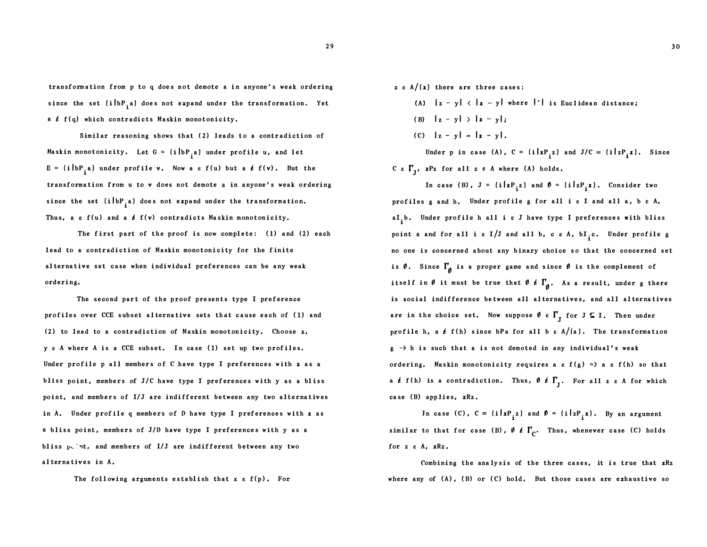transformation from p to q does not demote a in anyone 's weak orde ring since the set  $\{i\bigr\}$   $\bf{b}$   $\bf{P}_i$  a) does not expand under the transformation. Yet a  $f(f(q)$  which contradicts Maskin monotonicity.

Similar reasoning shows that (2) leads to a contradiction of Maskin monotonicity. Let  $G = \{i \mid bP_{i} a\}$  under profile  $u$ , and let  $E = \{i \mid bP_{i} a\}$  under profile v. Now a  $\varepsilon$  f(u) but a  $\ell$  f(v). But the transformation from u to v does not demote a in anyone 's weak ordering since the set  $\{i \mid bP_{i} a\}$  does not expand under the transformation. Thus, a  $\varepsilon$  f(u) and a  $\acute{\epsilon}$  f(v) contradicts Maskin monotonicity.

The first part of the proof is now complete:  $(1)$  and  $(2)$  each lead to a contradiction of Maskin monotonicity for the finite alternative set case when individual preferences can be any weak ordering.

The second part of the proof presents type I preference profiles over CCE subset alternative sets that cause each of ( 1) and (2) to l ead to a contradiction of Maskin monotonicity. Choose x, y e A where A is a CCE subset. In case ( 1) set up two profiles, Under profile p all members of C have type I preferences with  $x$  as a bliss point, members of  $J/C$  have type I preferences with y as a bliss point, and members of I/J are indifferent between any two alternatives in A. Under profile q members of D have type I preferences with  $x$  as a bliss point, members of J/D have type I preferences with y as a bliss  $p_{\nu}$ : $nt$ , and members of I/J are indifferent between any two alternatives in A.

The following arguments establish that  $x \in f(p)$ . For

- z  $\varepsilon$  A/ $\{x\}$  there are three cases:
	- (A)  $|z y|$   $\langle$   $|z y|$  where  $| \cdot |$  is Euclidean distance;
	- (B)  $|z y| > |x y|$ ;
	- (C)  $|z y| = |x y|$ .

Under p in case (A),  $C = \{i | xP_i z\}$  and  $J/C = \{i | zP_i x\}$ . Since C e  $\Gamma_j$ , xPz for all z e A where (A) holds.

In case (B),  $J = \{i | xP_i z\}$  and  $\phi = \{i | zP_i x\}$ , Consider two profiles g and h, Under prof ile g for all i e I and all a, b e A, al<sub>i</sub>b. Under profile h all i a J have type I preferences with bliss point a and for all i  $\varepsilon$  I/J and all b, c  $\varepsilon$  A,  $bI_i$ c. Under profile g no one is concerned about any binary choice so that the concerned set is  $\emptyset$ . Since  $\Gamma_{\emptyset}$  is a proper game and since  $\emptyset$  is the complement of itself in  $\emptyset$  it must be true that  $\emptyset$   $\ell$   $\Gamma_{\emptyset}$ . As a result, under g there is social indifference between all alternatives, and all alternatives are in the choice set. Now suppose  $\emptyset$   $\epsilon$   $\Gamma_{\text{J}}$  for  $J \subseteq I$ . Then under profile h, a  $\ell$  f(h) since bPa for all b  $\epsilon$  A/[a]. The transformation  $g \rightarrow h$  is such that a is not demoted in any individual's weak ordering. Maskin monotonicity requires a  $\varepsilon$  f(g) => a  $\varepsilon$  f(h) so that a  $f$  f(h) is a contradiction. Thus,  $\emptyset$   $f$   $\Gamma$ <sub>J</sub>. For all z  $\varepsilon$  A for which case (B) applies, xRz.

In case (C),  $C = \{i \mid xP_i z\}$  and  $\phi = \{i \mid zP_i x\}$ . By an argument similar to that for case (B),  $\emptyset$   $\ell$   $\Gamma_{\mathbb{C}}$ . Thus, whenever case (C) holds for z e A, xRz.

Combining the analysis of the three cases, it is true that xRz where any of  $(A)$ ,  $(B)$  or  $(C)$  hold. But those cases are exhaustive so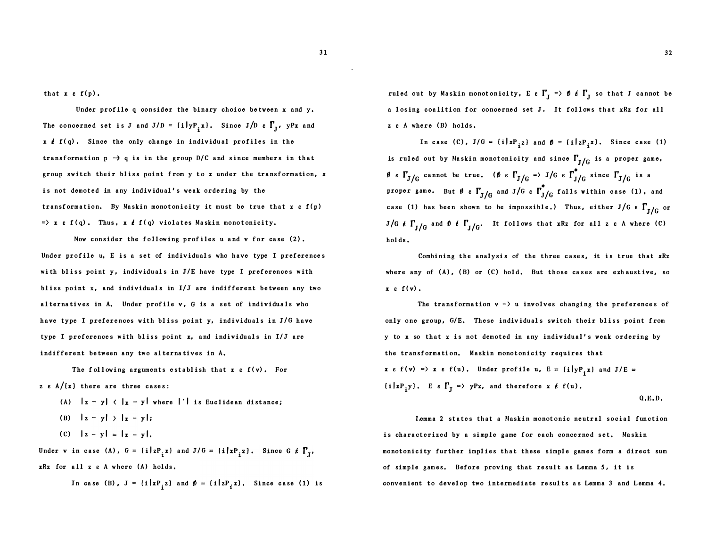that  $x \in f(p)$ .

Under profile  $q$  consider the binary choice between  $x$  and  $y$ . The concerned set is J and J/D =  $\{i \mid yP_{i} x\}$ . Since J/D  $\epsilon$   $\Gamma_{J}$ ,  $yPx$  and  $x \neq f(q)$ . Since the only change in individual profiles in the transformation  $p \rightarrow q$  is in the group D/C and since members in that group switch their bliss point from y to x under the transformation, x is not demoted in any individual's weak ordering by the transformation. By Maskin monotonicity it must be true that  $x \in f(p)$  $\Rightarrow$  x  $\epsilon$  f(q). Thus, x  $\epsilon$  f(q) violates Maskin monotonicity.

Now consider the following prof iles u and v for case (2) . Under profile u, E is a set of individuals who have type I preferences with bliss point  $y$ , individuals in  $J/E$  have type I preferences with bliss point  $x$ , and individuals in  $I/J$  are indifferent between any two alternatives in A. Under prof ile v, G is a set of individuals who have type I preferences with bliss point y, individuals in J/G have type I preferences with bliss point  $x$ , and individuals in  $I/J$  are indif ferent between any two alterna tives in A.

The following arguments establish that  $x e f(v)$ . For z  $\varepsilon$  A/ $(x)$  there are three cases:

- (A)  $|z y|$   $\langle$   $|z y|$  where  $| \cdot |$  is Euclidean distance;
- (B)  $|z y| > |x y|$ ;
- (C)  $|z y| = |x y|$ .

Under **v** in case (A),  $G = \{i | zP_i z \}$  and  $J/G$ xRz for all z e A where (A) holds .

In case (B), 
$$
J = \{i | xP_{i}z\}
$$
 and  $\mathbf{0} = \{i | zP_{i}x\}$ . Since case (1) is

ruled out by Maskin monotonicity, E e  $\Gamma_{\rm J}^{} \; \Rightarrow \; \theta \; \, \pmb{\ell} \; \, \Gamma_{\rm J}^{}$  so that J cannot be a losing coalition for concerned set J. It follows that xRz for all z  $\varepsilon$  A where (B) holds.

In case (C),  $J/G = \{i | xP_{i^Z}\}\$  and  $\beta = \{i | zP_{i^X}\}\$ . Since case (1) is ruled out by Maskin monotonicity and since  $\Gamma_{\rm J/G}$  is a proper game,  $\emptyset$  e  $\Gamma_{J/G}$  cannot be true. ( $\emptyset$  e  $\Gamma_{J/G}$  => J/G e  $\Gamma_{J/G}^{\bullet}$  since  $\Gamma_{J/G}$  is a proper game. But  $\emptyset$   $\epsilon$   $\Gamma_{\rm J/G}$  and  ${\rm J/G}$   $\epsilon$   $\Gamma_{\rm J/G}^{\bullet}$  falls within case (1), and case (1) has been shown to be impossible.) Thus, either J/G  $\rm \epsilon$   $\Gamma_{\rm J/G}$  or J/G  $t$   $\Gamma_{\text{J/G}}$  and  $\theta$   $t$   $\Gamma_{\text{J/G}}$ . It follows that xRz for all z  $e$  A where (C) hol ds .

Combining the analysis of the three cases, it is true that  $xRz$ where any of  $(A)$ ,  $(B)$  or  $(C)$  hold. But those cases are exhaustive, so  $x \in f(v)$ .

The transformation  $v \rightarrow u$  involves changing the preferences of only one group, G/E. These individuals switch their bliss point from y to x so that x is not demoted in any indiv idual 's weak ordering by the transformation. Maskin monotonicity requires that  $x \in f(v) \implies x \in f(u)$ . Under profile u,  $E = \{i | yP_i x\}$  and  $J/E$  $\{i \mid xP_jy\}$ . Ee $\Gamma_j \Rightarrow yPx$ , and therefore x  $t$  f(u).

Q.E.D.

I.emma 2 states that a Maskin monotonic neutral social function is characterized by a simple game for each concerned set. Maskin monotonicity further implies that these simple games form a direct sum of simple games, Before proving that result as Lemma 5, it is convenient to devel op two intermediate resul ts as Lemma 3 and Lemma 4.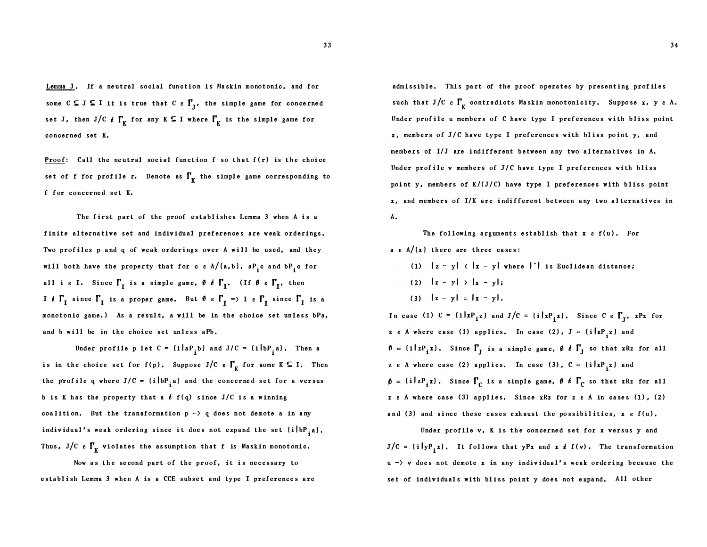Lemma 3. If a neutral social function is Maskin monotonic, and for some  $C \subseteq J \subseteq I$  it is true that  $C \in \Gamma_J$ , the simple game for concerned set J, then J/C  $\rlap{/}$  for any K  $\Gamma$  I where  $\Gamma_{\rm K}$  is the simple game for concerned set K,

Proof: Call the neutral social function f so that  $f(r)$  is the choice set of f for profile r. Denote as  $\Gamma_{\rm K}$  the simple game corresponding to f for concerned set K,

The first part of the proof establishes Lemma 3 when A is a finite alternative set and individual preferences are weak orderings. Two profiles p and q of weak orderings over A will be used, and they will both have the property that for c  $\varepsilon$  A/[a,b], a $P_i^{\phantom{\dag}}$ c and b $P_i^{\phantom{\dag}}$ c for all i  $\varepsilon$  I. Since  $\Gamma_{\text{I}}$  is a simple game,  $\vartheta$   $\rlap{/}$   $\ell$   $\Gamma_{\text{I}}$ . (If  $\vartheta$   $\varepsilon$   $\Gamma_{\text{I}}$ , then If  $\Gamma_I$  since  $\Gamma_I$  is a proper game. But  $\emptyset$   $\epsilon$   $\Gamma_I$   $\Rightarrow$  I  $\epsilon$   $\Gamma_I$  since  $\Gamma_I$  is a monotonic game.) As a result, a will be in the choice set unless bPa, and b will be in the choice set unless aPb.

Under profile p let  $C = \{i \mid aP_{i}b\}$  and  $J/C = \{i \mid bP_{i}a\}$ . Then a is in the choice set for f(p). Suppose J/C  $\epsilon$   $\Gamma_{\rm K}$  for some K  $\subseteq$  I. Then the profile q where  $J/C = \{i \mid bP_{i} \mid a\}$  and the concerned set for a versus b is K has the property that a  $f$   $f(q)$  since J/C is a winning coalition. But the transformation  $p \rightarrow q$  does not demote a in any individual's weak ordering since it does not expand the set  $\left\{i\left\vert \mathrm{bP}_{\mathrm{\frac{1}{2}}} \right.\right\}$ Thus, J/C  $\epsilon$   $\Gamma_{\rm K}$  violates the assumption that f is Maskin monotonic.

Now as the se cond part of the proof, it is ne cessary to establish Lemma 3 when A is a CCE subset and type I preferences are

admissible. This part of the proof operates by presenting prof iles such that  $J/C$   $\varepsilon$   $\Gamma_{\rm K}$  contradicts Maskin monotonicity. Suppose x, y  $\varepsilon$  A. Under prof ile u members of C have type I pref erences with bliss point x, members of J/C have type I preferences with bliss point y, and members of I/J are indifferent between any two alternatives in A. Under profile  $v$  members of  $J/C$  have type I preferences with bliss point y, members of  $K/(J/C)$  have type I preferences with bliss point  $x$ , and members of I/K are indifferent between any two alternatives in A.

The following arguments establish that  $x \in f(u)$ . For a  $\varepsilon$  A/(x) there are three cases:

(1)  $|z - y| < |x - y|$  where  $| \cdot |$  is Euclidean distance; (2)  $|z - y| > |x - y|$ ; (3)  $|z - y| = |x - y|$ .

In case (1)  $C = \{i | xP_i z\}$  and  $J/C = \{i | zP_i x\}$ . Since  $C \in \Gamma_J$ ,  $xPz$  for z e A where case (1) applies. In case (2),  $J = \{i | xP_{i} \}$  and  $\mathbf{D} = \{i \mid zP_i x\}$ . Since  $\Gamma_{\mathbf{J}}$  is a simple game,  $\mathbf{\theta} \notin \Gamma_{\mathbf{J}}$  so that xRz for all z e A where case (2) applies. In case (3),  $C = \{i | xP_{i} \}$  and  $(i|zP_i x)$ . Since  $\Gamma_C$  is a simple game,  $\emptyset$  is  $\Gamma_C$  so that xRz for all z e A where case (3) applies, Since xRz for z e A in cases (1) , (2) and (3) and since these cases exhaust the possibilities,  $x \in f(u)$ .

Under profile v, K is the concerned set for x versus y and  $J/C = \{ i \big| y P_i x \}$ . It follows that  $yPx$  and  $x \notin f(v)$ . The transformation  $u \rightarrow v$  does not demote x in any individual's weak ordering because the set of individuals with bliss point y does not expand. All other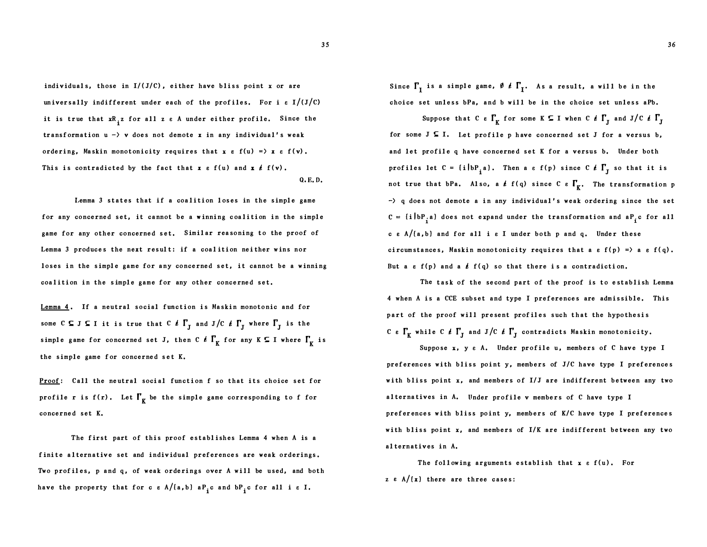36

individuals, those in  $I/(J/C)$ , either have bliss point x or are universally indifferent under each of the profiles. For i  $\epsilon I/(J/C)$ it is true that  $\mathtt{xR}_\mathtt{i}$ z for all z  $\varepsilon$  A under either profile. Since the transformation  $u \rightarrow v$  does not demote x in any individual's weak ordering, Maskin monotonicity requires that  $x \in f(u) = x \in f(v)$ . This is contradicted by the fact that  $x \in f(u)$  and  $x \notin f(v)$ . Q,E. D.

Lemma 3 states that if a coalition loses in the simple game for any concerned set, it cannot be a winning coalition in the simple game for any other concerned set. Similar reasoning to the proof of Lemma 3 produces the next result: if a coalition neither wins nor loses in the simple game for any concerned set, it cannot be a winning coalition in the simple game for any other concerned set.

Lemma 4. If a neutral social function is Maskin monotonic and for some  $\texttt{C} \subseteq \texttt{J} \subseteq \texttt{I}$  it is true that  $\texttt{C} \nmid \texttt{\textsf{r}}_J$  and  $\texttt{J} / \texttt{C} \nmid \texttt{\textsf{r}}_J$  where  $\texttt{\textsf{r}}_J$  is the simple game for concerned set J, then C  $\ell$   $\Gamma_{\rm K}^{\phantom{\ell}}$  for any K  $\subseteq$  I where  $\Gamma_{\rm K}^{\phantom{\ell}}$  is the simple game for concerned set K.

Proof: Call the neutral social function f so that its choice set for profile r is  $f(r)$ . Let  $\Gamma_r$  be the simple game corresponding to f for concerned set K.

The first part of this proof establishes Lemma 4 when A is a finite alternative set and individual preferences are weak orderings. Two profiles, p and q, of weak orderings over A will be used, and both have the property that for c  $\varepsilon$  A/[a,b] a $\text{P}_\textbf{i}$ c and b $\text{P}_\textbf{i}$ c for all i  $\varepsilon$  I.

Since  $\Gamma_{\text{I}}$  is a simple game,  $\emptyset$   $\ell$   $\Gamma_{\text{I}}$ . As a result, a will be in the choice set unless bPa, and b will be in the choice set unless aPb.

Suppose that C  $\epsilon \Gamma_K$  for some K  $\subseteq$  I when C  $\ell \Gamma_J$  and J/C  $\ell \Gamma_J$ for some  $J \subseteq I$ . Let profile p have concerned set J for a versus b, and let profile q have concerned set K for a versus b, Under both profiles let  $C = \{i | bP_{i}a\}$ . Then a  $\varepsilon f(p)$  since  $C \nmid T_{J}$  so that it is not true that bPa. Also, a  $f$   $f(q)$  since C  $\epsilon$   $\Gamma_{\kappa}$ . The transformation p  $\rightarrow$  q does not demote a in any individual's weak ordering since the set  $C = \{i \mid bP_i a\}$  does not expand under the transformation and  $aP_i c$  for all c  $\epsilon$  A/(a,b) and for all i  $\epsilon$  I under both p and q. Under these circum stances, Maskin monotonicity requires that a  $\varepsilon$  f(p) = > a  $\varepsilon$  f(q). But a  $\varepsilon$  f(p) and a  $\frac{\ell}{\varepsilon}$  f(q) so that there is a contradiction.

The task of the second part of the proof is to establish Lemma 4 when A is a CCE subset and type I preferences are admissible. This part of the proof will present profiles such that the hypothesis C e  $\Gamma_{\rm K}$  while C  $t$   $\Gamma_{\rm J}$  and J/C  $t$   $\Gamma_{\rm J}$  contradicts Maskin monotonicity.

Suppo se x, y e A. Under profile u, members of C have type I preferences with bliss point  $y$ , members of  $J/C$  have type I preferences with bliss point x, and members of I/J are indifferent between any two a lternatives in A. Under profile v members of C have type I preferences with bliss point y, members of K/C have type I preferences with bliss point  $x$ , and members of  $I/K$  are indifferent between any two alternatives in A.

The following arguments establish that  $x \in f(u)$ . For z  $\varepsilon$  A/ $\{x\}$  there are three cases: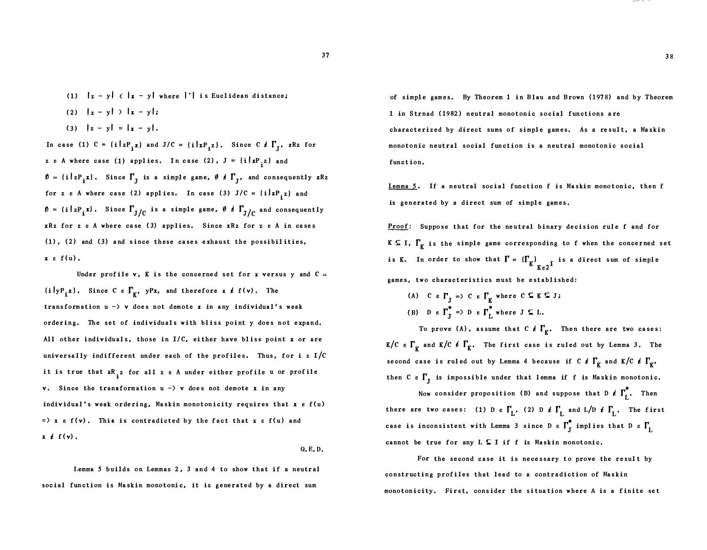- (1)  $|z y|$   $\langle$   $|x y|$  where  $| \cdot |$  is Euclidean distance;
- (2)  $\left| \mathbf{z} \mathbf{y} \right| > \left| \mathbf{x} \mathbf{y} \right|$
- (3)  $|z y| = |x y|$ .

In case (1)  $C = \{i \mid zP_i x\}$  and  $J/C = \{i \mid xP_i z\}$ . Since  $C \notin \Gamma_{J}$ , xRz for z e A where case (1) applies. In case (2),  $J = \{i \mid xP, z\}$  and  $p = \{i \mid zP_{i} \mathbf{x}\}\$ . Since  $\Gamma_{\mathbf{J}}$  is a simple game,  $p \notin \Gamma_{\mathbf{J}}$ , and consequently  $\mathbf{x}Rz$ for z  $\varepsilon$  A where case (2) applies. In case (3) J/C =  $\{i \mid xP_{i} z\}$  and  $\mathbf{D} = \{ \texttt{i} \, | \, \texttt{zP}_\texttt{i} \texttt{x} \}$ . Since  $\Gamma_{\texttt{J/ C}}$  is a simple game,  $\mathbf{\emptyset} \not\in \Gamma_{\texttt{J/ C}}$  and consequently  $xRz$  for z  $\varepsilon$  A where case (3) applies. Since  $xRz$  for z  $\varepsilon$  A in cases (1) , (2) and (3) a nd s ince these cases e xhaust the possibil ities,  $x \in f(u)$ .

Under profile v, K is the concerned set for x versus y and  $C =$  $(i|yP_i x)$ . Since C  $\varepsilon \prod_{K'} yPx$ , and therefore x  $\ell$  f(v). The transformation  $u -$  v does not demote x in any individual's weak ordering. The set of individuals with bliss point y does not e xpand. All other individuals, those in  $I/C$ , either have bliss point x or are universally indifferent under each of the profiles. Thus, for i  $\epsilon$  I/C it is true that  $\mathtt{xR}_\mathtt{i}$ z for all z  $e$  A under either profile u or profile v. Since the transformation  $u \rightarrow v$  does not demote x in any individual's weak ordering, Maskin monotonicity requires that  $x e f(u)$  $=$   $\lambda$  x  $\epsilon$  f(v). This is contradicted by the fact that x  $\epsilon$  f(u) and  $x \notin f(v)$ .

Q. E. D,

Lemma 5 builds on Lemmas 2. 3 and 4 to show that if a neutral social function is Maskin monotonic, it is generated by a direct sum

of simple games. By Theorem 1 in Blau and Brown (1978) and by Theorem 1 in S trnad ( 19 82) neutral monotonic social functions a re chara cterized by direct sums of simple games. As a result, a Maskin monotonic neutral social function is a neutral monotonic social function.

Lemma 5. If a neutral social function f is Maskin monotonic, then f is generated by a direct sum of simple games.

Proof: Suppose that for the neutral binary decision rule f and for **K**  $\subseteq$  **I**,  $\Gamma_K$  is the simple game corresponding to f when the concerned set is K. In order to show that  $\Gamma = (\Gamma_K)_{K \in 2}$  is a direct games, two characteristics must be established: sum of simple

(A) C  $\epsilon$   $\Gamma_r$  = > C  $\epsilon$   $\Gamma_r$  where C  $\subseteq$  K  $\subseteq$  J; (B) D e  $\Gamma_{\tau}^{\bullet}$  => D e  $\Gamma_{\tau}^{\ast}$  where J  $\subseteq$  L.

To prove (A), assume that  $C \nmid \Gamma_K$ . Then there are two cases: K/C  $\epsilon$   $\Gamma_{\rm K}$  and K/C  $\ell$   $\Gamma_{\rm K}$ . The first case is ruled out by Lemma 3. The second case is ruled out by Lemma 4 because if  $C \nmid \Gamma_K$  and  $K/C \nmid \Gamma_K$ then C e  $\Gamma_{\text{I}}$  is impossible under that lemma if f is Maskin monotonic.

Now consider proposition (B) and suppose that  $D \notin \Gamma_L^{\bullet}$ . Then there are two cases: (1) D  $\epsilon$   $\Gamma_{\text{L}}$ , (2) D  $\ell$   $\Gamma_{\text{L}}$  and L/D  $\ell$   $\Gamma_{\text{L}}$ . The first case is inconsistent with Lemma 3 since D  $\epsilon$   $\Gamma_{\textrm{J}}^{*}$  implies that D  $\epsilon$   $\Gamma_{\textrm{L}}$ cannot be true for any  $L \subseteq I$  if f is Maskin monotonic.

For the second case it is necessary to prove the result by constructing profiles that lead to a contradiction of Maskin monotonicity. First, consider the situation where A is a finite set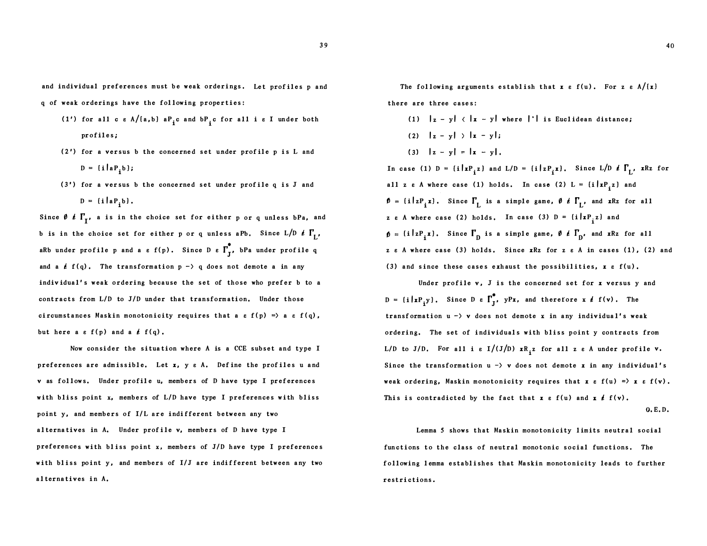and individual preferences must be weak orderings. Let profiles p and q of weak orderings h ave the fol lowing properties:

- (1') for all c  $\varepsilon$  A/{a,b} a $P_i$ c and b $P_i$ c for all i  $\varepsilon$  I under both profiles;
- $(2')$  for a versus b the concerned set under profile p is L and  $D = {i | a P_i b};$
- $(3')$  for a versus b the concerned set under profile q is J and  $D = {i | a P_i b}.$

Since  $\emptyset$   $\ell$   $\Gamma_{\text{I}}$ , a is in the choice set for either p or q unless bPa, and b is in the choice set for either p or q unless aPb. Since  $L/D \neq \Gamma_{L'}$ aRb under profile p and a  $\varepsilon$  f(p). Since D  $\varepsilon$   $\mathsf{\Gamma}_{\mathbf{J}}^{\bullet}$ , bPa under profile q and a  $f(q)$ . The transformation  $p \rightarrow q$  does not demote a in any individual's weak ordering because the set of those who prefer b to a contracts from L/D to J/D under that transformation. Under those circumstances Maskin monotonicity requires that a  $\varepsilon$  f(p) => a  $\varepsilon$  f(q), but here a  $\varepsilon f(p)$  and a  $\ell f(q)$ .

Now consider the situation where A is a CCE subset and type I preferences are admissible. Let  $x$ ,  $y$   $g$   $A$ . Define the profiles u and v as follows. Under profile u, members of D have type I preferences with bliss point x, members of L/D have type I preferences with bliss point y, and members of I/L are indi fferent between any two a lternatives in A. Under prof ile v, members of D have type I preferences with bliss point  $x$ , members of  $J/D$  have type I preferences with bliss point  $y$ , and members of  $I/J$  are indifferent between any two a lternatives in A,

The following arguments establish that  $x \in f(u)$ . For z  $\epsilon A/(x)$ there are three cases:

(1)  $|z - y|$   $\langle |x - y|$  where  $|| \cdot ||$  is Euclidean distance; (2)  $\left| \mathbf{z} - \mathbf{y} \right|$   $\left| \mathbf{x} - \mathbf{y} \right|$ ; (3)  $|z - y| = |x - y|$ .

In case (1)  $D = \{i | xP_i z\}$  and  $L/D = \{i | zP_i x\}$ . Since  $L/D \neq \Gamma_{L'}$  xRz for all z e A where case (1) holds. In case (2)  $L = \{i | xP_i^2 \}$  and  $\mathbf{D} = \{i \mid zP_i z\}$ . Since  $\Gamma_L$  is a simple game,  $\mathbf{\theta} \notin \Gamma_L$ , and xRz for all z e A where case (2) holds. In case (3)  $D = \{i | xP_i^2 \}$  and  $\{i \mid zP_i x\}$ . Since  $\Gamma_{\text{D}}$  is a simple game,  $\emptyset$   $\neq \Gamma_{\text{D}}$ , and xRz for all z e A where case (3) holds. Since xRz for z e A in cases (1), (2) and (3) and since these cases exhaust the possibilities,  $x \in f(u)$ .

Under profile v, J is the concerned set for x versus y and  $D = {i | x P_i y}.$ Since D e  $\Gamma_j^*$ , yPx, and therefore x  $\ell$  f(v). The transformation  $u \rightarrow v$  does not demote x in any individual's weak ordering. The set of individuals with bliss point y contracts from L/D to J/D. For all i  $\varepsilon$  I/(J/D)  $xR_i^2$  for all z  $\varepsilon$  A under profile v. Since the transformation  $u \rightarrow v$  does not demote x in any individual's weak ordering, Maskin monotonicity requires that  $x \in f(u) = x \in f(v)$ . This is contradicted by the fact that  $x e f(u)$  and  $x \neq f(v)$ .

0, E, D.

Lemma 5 shows that Maskin monotonicity l imits neutral social functions to the class of neutral monotonic social functions. The following l emma e stabli shes that Maskin monotonicity leads to further restri ctions .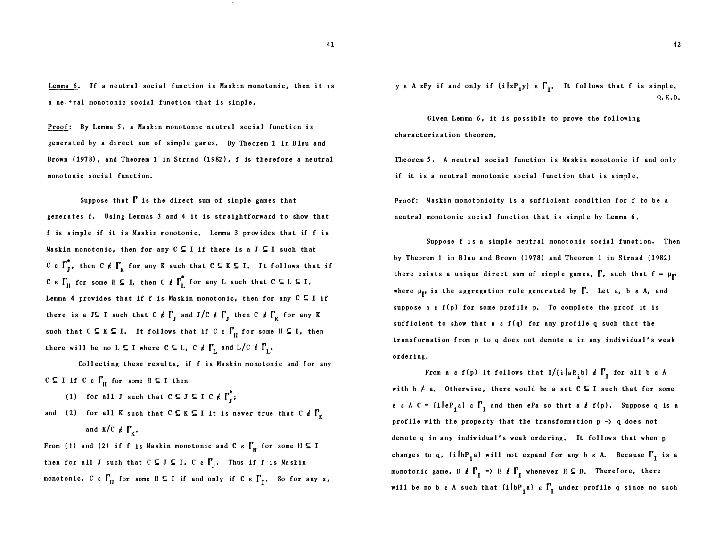Lemma 6. If a neutral social function is Maskin monotonic, then it is a ne, • ral monotonic social function that is simple,

Proof: By Lemma 5, a Maskin monotonic neutral social function is generated by a direct sum of simple games, By Theorem 1 in B lau and Brown (1978), and Theorem 1 in Strnad (1982), f is therefore a neutral monotonic social function.

Suppose that  $\Gamma$  is the direct sum of simple games that generates f, Using Lemmas 3 and 4 it is straightforward to show that f is simple if it is Maskin monotonic. Lemma 3 provides that if f is Maskin monotonic, then for any  $C \subseteq I$  if there is a  $J \subseteq I$  such that C e  $\Gamma_f^*$ , then C  $\ell$   $\Gamma_K$  for any K such that  $C \subseteq K \subseteq I$ . It follows that if C e  $\Gamma_H$  for some H  $\subseteq$  I, then C  $\ell \Gamma_L^*$  for any L such that C  $\subseteq$  L  $\subseteq$  I. Lemma 4 provides that if f is Maskin monotonic, then for any  $C \subseteq I$  if there is a J  $\subseteq$  I such that C  $\rlap{/} \ell$   $\Gamma_{\text{J}}$  and J  $\rfloor$  C  $\rlap{/} \ell$   $\Gamma_{\text{J}}$  then C  $\rlap{/} \ell$   $\Gamma_{\text{K}}$  for any K such that  $C \subseteq K \subseteq I$ . It follows that if  $C \in \Gamma_H^c$  for some  $H \subseteq I$ , then there will be no L  $\subseteq$  I where C  $\subseteq$  L, C  $\rlap{/}~$   $\lbrack~$   $\lbrack~$   $\lbrack~$  and L/C  $\rlap{/}$   $\lbrack~$   $\lbrack~$   $\lbrack~$ 

Collecting these results, if f is Maskin monotonic and for any C  $\subseteq$  I if C  $\epsilon$   $\Gamma$ <sub>H</sub> for some H  $\subseteq$  I then

- (1) for all J such that  $C \subseteq J \subseteq I \subset \ell \Gamma_j^*$ ;
- and (2) for all K such that  $C \subseteq K \subseteq I$  it is never true that  $C \notin \Gamma_{\overline{K}}$ and  $K/C \neq \Gamma_K$ .

From (1) and (2) if f is Maskin monotonic and C  $\epsilon$   $\Gamma_{\rm H}$  for some H  $\subseteq$  I then for all J such that  $C \subseteq J \subseteq I$ ,  $C \in \Gamma_{\overline{J}}$ . Thus if f is Maskin monotonic,  $C \in \Gamma_H$  for some  $H \subseteq I$  if and only if  $C \in \Gamma_I$ . So for any x, ye A xPy if and only if  $(i | xP_{i}y) e \Gamma_{I}$ . It follows that f is simple. Q. E.D.

Given Lemma 6, it is possible to prove the following characterization theorem,

Theorem 5. A neutral social function is Maskin monotonic if and only if it is a neutral monotonic soc ial function that is simple.

Proof: Maskin monotonicity is a sufficient condition for f to be a neutral monotonic social function that is simple by Lemma 6.

Suppose f is a simple neutral monotonic social function. Then by Theorem 1 in Blau and Brown (1978) and Theorem 1 in Strnad (1982) there exists a unique direct sum of simple games,  $\Gamma$ , such that  $f = \mu_{\Gamma}$ where  $\mu_{\mathbf{F}}$  is the aggregation rule generated by  $\Gamma$ . Let a, b  $\varepsilon$  A, and suppose a  $\varepsilon$  f(p) for some profile p. To complete the proof it is sufficient to show that a  $\varepsilon f(q)$  for any profile q such that the transformation from p to q does not demote a in any individual's weak ordering .

From a  $\varepsilon$  f(p) it follows that I/(i|aR<sub>i</sub>b)  $\ell$   $\Gamma$ <sub>I</sub> for all b  $\varepsilon$  A with  $b \neq a$ . Otherwise, there would be a set  $C \subseteq I$  such that for some e e A C =  $\{i | eP_i a\}$  e  $\Gamma$ <sub>I</sub> and then ePa so that a  $i$  f(p). Suppose q is a profile with the property that the transformation  $p \rightarrow q$  does not demote q in any individual's weak ordering. It follows that when p changes to q,  $\{i\bigr|\bigr.\}bP_{i}^{\phantom{i}}$ a) will not expand for any b  $\varepsilon$  A. Because  $\Gamma_{\!1}^{\phantom{i}}$  is a monotonic game, D  $\rlap{/}t$   $\Gamma_{\text{I}} \Rightarrow E$   $\rlap{/}t$   $\Gamma_{\text{I}}$  whenever E  $\subseteq$  D. Therefore, there will be no be A such that  $(i|bp_{i}a) e \nabla_{I}$  under profile q since no such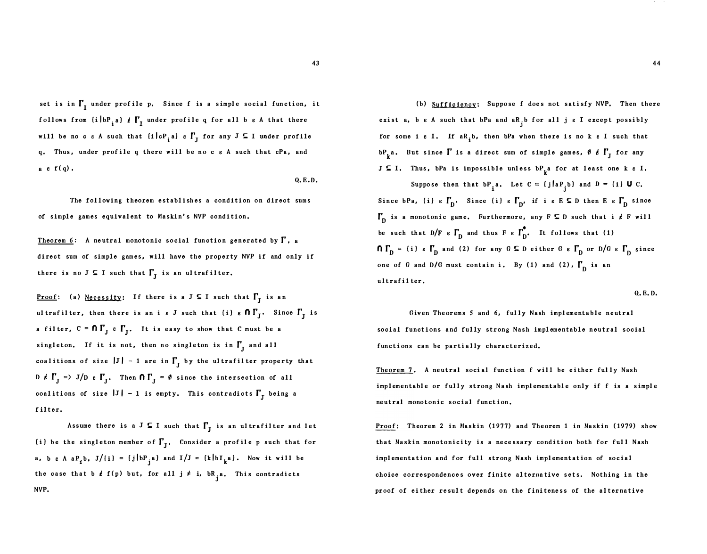set is in  $\Gamma_{\text{I}}$  under profile p. Since f is a simple social function, it follows from  $\left\{i\left\vert\mathbf{b}\mathbf{P}_{\mathbf{i}}\mathbf{a}\right\vert\right\}$  of  $\mathbf{I}^{\prime}_{\mathbf{I}}$  under profile q for all b  $\mathbf{\epsilon}$  A that there will be no c  $\varepsilon$  A such that  $\{i \, | \, cP_{i} a\}$   $\varepsilon \int_{J}$  for any  $J \subseteq I$  under profile q, Thus, under prof ile q there will be no c e A such that cPa, and a  $\varepsilon$  f(q).

Q. E.D.

The following theorem establishes a condition on direct sums of simple games equivalent to Maskin' s NYP condition.

Theorem 6: A neutral monotonic social function generated by  $\Gamma$ , a direct sum of simple games, will have the property NYP if and only if there is no J  $\subseteq$  I such that  $\Gamma_{\overline{J}}$  is an ultrafilter.

<u>Proof</u>: (a) Necessity: If there is a  $J \subseteq I$  such that  $\Gamma_J$  is an ultrafilter, then there is an i  $\epsilon$  J such that (i)  $\epsilon$   $\mathsf{O} \, \Gamma_{\operatorname{J}}^{}$ . Since  $\Gamma_{\operatorname{J}}^{}$  is a filter,  $C = \bigcap_{J} C_{J}$  e  $\bigcap_{J} C_{J}$ . It is easy to show that  $C$  must be a singleton. If it is not, then no singleton is in  $\Gamma_{\rm J}$  and all coalitions of size  $|J|$  - 1 are in  $\Gamma_{\!J}$  by the ultrafilter property that D  $\rlap{/}t$   $\Gamma_{\textrm{J}}$  =  $\triangleright$  J/D  $\lbrack t$   $\Gamma_{\textrm{J}}$ . Then  $\Omega$   $\Gamma_{\textrm{J}}$  =  $\theta$  since the intersection of all coalitions of size  $|J| - 1$  is empty. This contradicts  $\Gamma_J$  being a filter.

Assume there is a  $J \subseteq I$  such that  $\Gamma_J$  is an ultrafilter and let (i) be the singleton member of  $\Gamma_{\bf j}$ . Consider a profile p such that for a, b e A a $P_i$ b, J/(i) = {j|b $P_j$ a} and I/J = {k|bI<sub>k</sub>a}. Now it will be the case that b  $f(f)$  but, for all  $j \neq i$ ,  $bR_{j}a$ . This contradicts NYP.

(b) Sufficiency: Suppose f does not satisfy NVP. Then there exist a, b  $\varepsilon$  A such that bPa and aR<sub>j</sub>b for all j  $\varepsilon$  I except possibly for some i  $\varepsilon$  I. If  $aR$ <sub>1</sub>b, then bPa when there is no k  $\varepsilon$  I such that  $bP_k^a$ . But since  $\Gamma$  is a direct sum of simple games,  $\emptyset$   $\neq \Gamma$  for any  $J \subseteq I$ . Thus, bPa is impossible unless bP<sub>k</sub>a for at least one k  $\varepsilon$  I.

Suppose then that  $bP_i$ a. Let  $C = \{j | aP_j b\}$  and  $D = \{i\} U C$ . Since bPa, (i) e  $\Gamma_{\text{D}}$ . Since (i) e  $\Gamma_{\text{D}}$ , if i e E  $\subseteq$  D then E e  $\Gamma_{\text{D}}$  since  $\Gamma_{\text{D}}$  is a monotonic game. Furthermore, any F  $\subseteq$  D such that i  $\ell$  F will be such that  $D/F e \Gamma_D$  and thus F  $\epsilon \Gamma_D^*$ . It follows that (1)  $\bigcap_{n=0}^{\infty}$   $\bigcap_{n=0}^{\infty}$  and (2) for any  $G \subseteq D$  either  $G \in \bigcap_{n=0}^{\infty}$  or  $D/G \in \bigcap_{n=0}^{\infty}$  since one of G and D/G must contain i. By (1) and (2),  $\Gamma_{\text{n}}$  is an ultrafilter.

Q. E.D.

Given The orems 5 and 6, fully Nash implementable neutral social functions and fully strong Nash implementable neutral social functions can be partially characterized.

Theorem 7. A neutral social function f will be either fully Nash implementable or fully strong Nash implementable only if f is a simple neutral monotonic social function,

Proof: Theorem 2 in Maskin (1977) and Theorem 1 in Maskin (1979) show that Maskin monotonicity is a necessary condition both for full Nash implementa tion and for full strong Nash implementation of social choice correspondences over finite alternative sets. Nothing in the proof of either result depends on the finiteness of the alternative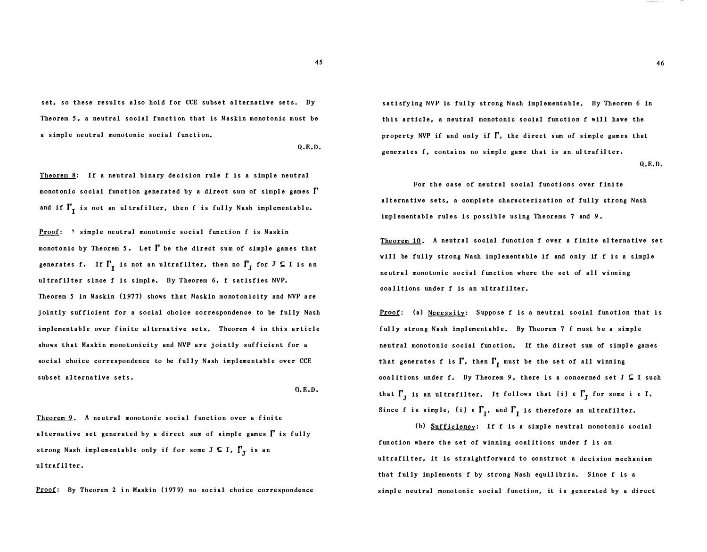set, so these results also hold for CCE subset alternative sets. By Theorem 5, a neutral social function that is Maskin monotonic must be a simple neutral monotonic social function.

Q,E,D,

Theorem 8: If a neutral binary decision rule f is a simple neutral monotonic social function generated by a direct sum of simple games  $\Gamma$ and if  $\Gamma_{_{\rm I}}$  is not an ultrafilter, then f is fully Nash implementable.

**Proof:**  $\Lambda$  simple neutral monotonic social function f is Maskin monotonic by Theorem 5. Let  $\Gamma$  be the direct sum of simple games that generates f. If  $\Gamma_{\mathrm{I}}$  is not an ultrafilter, then no  $\Gamma_{\mathrm{J}}$  for  $\text{J} \subseteq \text{I}$  is an ultrafilter since f is simple. By Theorem 6, f satisfies NVP. Theorem 5 in Maskin (1977) shows that Maskin monotonicity and NVP a re jointly sufficient for a social choice correspondence to be fully Nash implementable over finite alternative sets. Theorem 4 in this article shows that Maskin monotonicity and NVP are jointly sufficient for a social choice correspondence to be fully Nash implementable over CCE subset alternative sets .

O. E.D.

Theorem 9. A neutral monotonic social function over a finite alternative set generated by a direct sum of simple games  $\Gamma$  is fully strong Nash implementable only if for some  $J \subseteq I$ ,  $\Gamma_J$  is an ul traf il ter .

Proof: By Theorem 2 in Maskin (1979) no social choice correspondence

sati sfy ing NVP is fully strong Nash implementable, By Theorem 6 in this article, a neutral monotonic social function f will have the property NVP if and only if  $\Gamma$ , the direct sum of simple games that generates f, contains no simple game that is an ultrafilter.

Q,E,D.

For the case of neutral social functions over finite alternative sets, a complete characterization of fully strong Nash implementable rules is possible using Theorems 7 and 9.

Theorem 10. A neutral social function f over a finite alternative set will be fully strong Nash implementable if and only if f is a simple neutral monotonic social function where the set of all winning coalitions under f is an ultrafilter.

Proof: (a) Necessity: Suppose f is a neutral social function that is fully strong Nash implementable. By Theorem 7 f must be a simple neutral monotonic social function. If the direct sum of simple games that generates f is  $\Gamma$ , then  $\Gamma_{\text{I}}$  must be the set of all winning coalitions under f. By Theorem 9, there is a concerned set  $J \subseteq I$  such that  $\Gamma_{\rm J}$  is an ultrafilter. It follows that (i)  $\epsilon \Gamma_{\rm J}$  for some i  $\epsilon$  I. Since f is simple, (i)  $\epsilon$   $\Gamma_{\rm I}^{}$ , and  $\Gamma_{\rm I}^{}$  is therefore an ultrafilter.

(b) Sufficiency: If f is a simple neutral monotonic social function where the set of winning coal itions under f is an ultrafilter, it is straightforward to construct a decision mechanism that fully implements f by strong Nash equilibria. Since f is a simple neutral monotonic social function, it is generated by a direct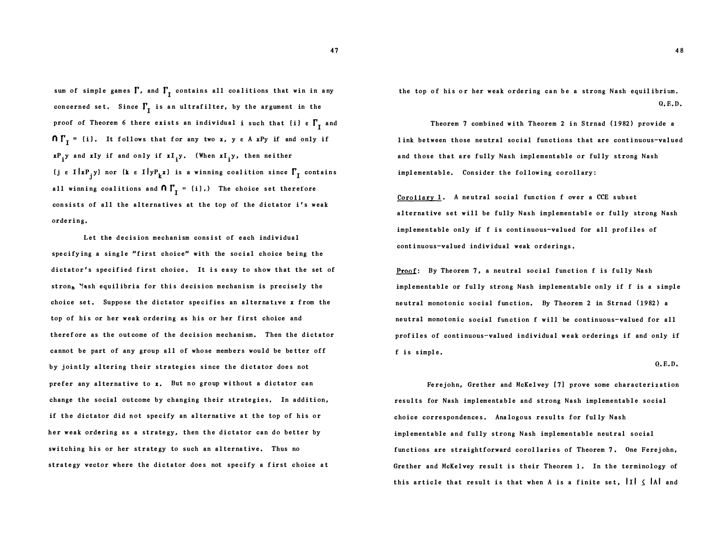sum of simple games  $\Gamma$ , and  $\Gamma_{_{\rm I}}$  contains all coalitions that win in any concerned set. Since  $\Gamma_{_{\rm I}}$  is an ultrafilter, by the argument in the proof of Theorem 6 there exists an individual i such that (i)  $\epsilon \Gamma_{I}$  and  $\bigcap \mathbf{r}_I^* = \mathbf{(i)}$ . It follows that for any two x, ye A xPy if and only if  $\mathbf{x} \mathbf{P_j}$  and  $\mathbf{x} \mathbf{I}_j$  if and only if  $\mathbf{x} \mathbf{I}_j$   $\mathbf{y}$ . (When  $\mathbf{x} \mathbf{I}_j$   $\mathbf{y}$ , then neither (j e I $|x|$ y) nor (k e I $|yP_{k}x|$  is a winning coalition since  $\Gamma_{I}$  contains all winning coalitions and  $\bm{\mathsf{\Pi}}^\mathsf{T}_\mathbf{I}^\mathsf{T}$  = {i}.) The choice set therefore consists of all the alternatives at the top of the dictator i's weak ordering,

Let the decision mechanism consist of each individual specifying a single "first choice" with the social choice being the dictator's specified first choice. It is easy to show that the set of stron<sub>b</sub> Nash equilibria for this decision mechanism is precisely the choice set. Suppose the dictator specifies an alternative  $x$  from the top of his or her weak ordering as his or her first choice and therefore as the outcome of the decision mechanism. Then the dictator cannot be part of any group all of whose members would be better off by jointly altering their strategies since the dictator does not prefer any alternative to x. But no group without a dictator can change the social out come by changing their strategies, In addition, if the dictator did not specify an alternative at the top of his or her weak ordering as a strategy, then the dictator can do better by switching his or her strategy to such an alternative. Thus no strategy vector where the dictator does not specify a first choice at

the top of his or her weak ordering can be a strong Nash equil ibrium, Q, E.D.

Theorem 7 combined with Theorem 2 in Strnad (1982) provide a <sup>l</sup> ink between those neutral social functions that are continuous-valued and those that are fully Nash implementable or fully strong Nash implementable. Consider the following corollary:

<u>Corollary 1</u>. A neutral social function f over a CCE subset alternat ive set will be fully Nash implementable or fully strong Nash implementable only if f is continuous-valued for all prof iles of continuous-valued individual weak orderings.

Proof: By Theorem 7, a neutral social function f is fully Nash implementable or fully strong Nash implementable only if f is a simple neutral monotonic social function. By Theorem 2 in Strnad (1982) a neutral monotonic social function f will be continuous-valued for all prof iles of continuous-valued individual weak orderings if and only if f is simple,

Q, E.D.

Fe rej ohn, Grether and McKelvey [7] prove some characteriz ation results for Nash implementable and strong Nash implementable social choice correspondences, Analogous results for fully Nash implementable and fully strong Nash implementable neutral social functions are straightforward corollaries of Theorem 7. One Ferejohn, Grether and McKelvey result is their Theorem 1. In the terminology of this article that result is that when A is a finite set,  $\left|I\right| \leq \left|A\right|$  and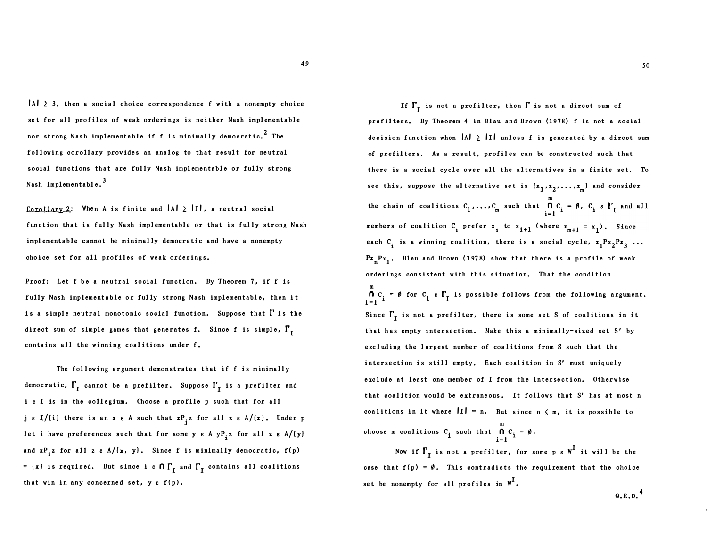$|A| \geq 3$ , then a social choice correspondence f with a nonempty choice set for all profiles of weak orderings is neither Nash implementable nor strong Nash implementable if  $f$  is minimally democratic.<sup>2</sup> The following corollary provides an analog to that result for neutral social functions that are fully Nash implementable or fully strong Nash implementable. $^3$ 

Corollary 2: When A is finite and  $|A| \geq |I|$ , a neutral social function that is fully Nash implementable or that is fully strong Nash implementable cannot be minimally democratic and have a nonempty choice set for all profiles of weak orderings.

Proof: Let f be a neutral social function. By Theorem 7, if f is fully Nash implementable or fully strong Nash implementable, then it is a simple neutral monotonic social function. Suppose that  $\Gamma$  is the direct sum of simple games that generates f. Since f is simple,  $\Gamma_{\text{I}}$ contains all the winning coalitions under f.

The following argument demonstrates that if f is minimally democratic,  $\Gamma_{_{\rm I}}$  cannot be a prefilter. Suppose  $\Gamma_{_{\rm I}}$  is a prefilter and i e I is in the collegium. Choose a profile p such that for all  $j \in I/(i)$  there is an x  $\varepsilon$  A such that  $xP_j z$  for all z  $\varepsilon$  A/ $(x)$ . Under p let i have preferences such that for some **y**  $\varepsilon$  A  $yP_{i}z$  for all  $z$   $\varepsilon$  A/( $y$ ) and  $\mathbf{x} \mathbf{P_i}$ z for all z  $\epsilon$  A/ $(\mathbf{x}, \mathbf{y})$ . Since f is minimally democratic, f(p)  $=$  (x) is required. But since i  $\epsilon$   $\bm{\cap}$   $\Gamma_{\text{I}}$  and  $\Gamma_{\text{I}}$  contains all coalitions that win in any concerned set,  $y \in f(p)$ .

If  $\Gamma_{\text{I}}$  is not a prefilter, then  $\Gamma$  is not a direct sum of prefil ters, By Theorem 4 in Blau and Brown (1978) f is not a social decision function when  $|A| \ge |I|$  unless f is generated by a direct sum of prefilters. As a result, profiles can be constructed such that there is a social cycle over all the alternatives in a finite set. To see this, suppose the alternative set is  $\{x_{1}, x_{2}, \ldots, x_{m}\}$  and consider m the chain of coalitions  $C_1, \ldots, C_m$  such that  $\bigcap_{i=1}^m C_i$  $i=1$ <sup>1</sup> members of coalition  $C_i$  prefer  $x_i$  to  $x_{i+1}$  (where  $x_{m+1}$ each  $C_i$  is a winning coalition, there is a social cycle,  $x_1^px_2^px_3^3...$  $Pr_n Pr_1$ . Blau and Brown (1978) show that there is a profile of weak orderings consistent with this situation. That the condition m  $n c<sub>i</sub>$  $\bigcap_{i=1}^{n}$   $C_i = \emptyset$  for  $C_i$   $\in \Gamma_I$  is possible follows from the following argument. Since  $\Gamma_{\text{I}}$  is not a prefilter, there is some set S of coalitions in it that has empty inter section, Make this a minimally-sized set S' by excluding the largest number of coalitions from S such that the intersection is still empty. Each coalition in S' must uniquely exclude at least one member of I from the intersection, Otherwise that coalition would be extraneous. It follows that S' has at most n coalitions in it where  $\|\mathbf{I}\| = \mathbf{n}$ . But since  $\mathbf{n} \times \mathbf{m}$ , it is possible to m choose m coalitions  $C_i$  such that  $\bigcap_{i=1}^{\infty} C_i = \emptyset$ .

Now if  $\Gamma_{_{\rm I}}$  is not a prefilter, for some p  $_{\rm e}$  W  $^{\rm I}$  it will be the case that  $f(p) = \emptyset$ . This contradicts the requirement that the choice set be nonempty for all profiles in  $w^I$ .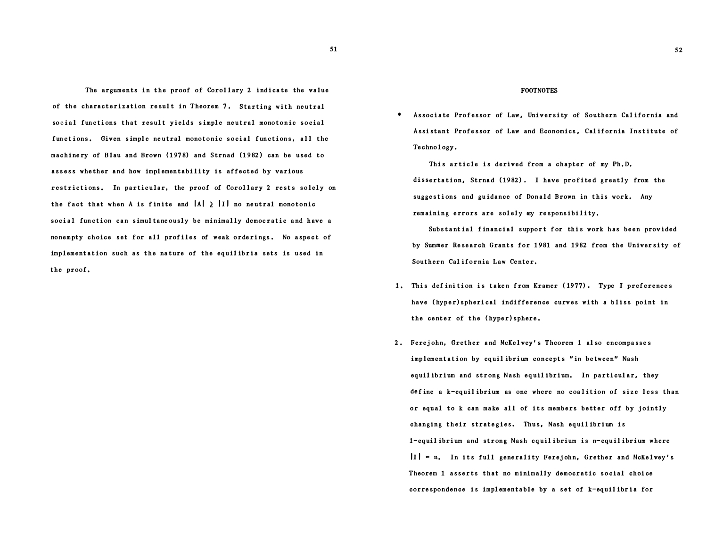The arguments in the proof of Corollary 2 indicate the value of the characterization result in Theorem 7. Starting with neutral social functions that result yields simple neutral monotonic social functions. Given simple neutral monotonic social functions, all the machinery of Blau and Brown (1978) and Strnad (1982) can be used to assess whether and how implementability is affected by various restrictions. In particular, the proof of Corollary 2 rests solely on the fact that when A is finite and  $|A| \geq |I|$  no neutral monotonic social function can simultane ously be minimally democratic and have a nonempty choice set for all profiles of weak orderings. No aspect of implementation such as the nature of the equil ibria sets is used in the proof ,

#### FOOTNOTES

\* Associate Professor of Law, University of Southern California and Assi stant Profes sor of Law and Economics , Cal ifornia Institute of Technol ogy .

This article is derived from a chapter of my Ph. D. dissertation, Strnad (1982). I have profited greatly from the suggestions and guidance of Donald Brown in this work. Any remaining errors are solely my responsibility.

Substantial financial support for this work has been provided by Summer Research Grants for 1981 and 1982 from the University of Southern Cal ifornia Law Center.

- 1. This definition is taken from Kramer (1977). Type I preferences have (hyper)spherical indifference curves with a bliss point in the center of the ( hyper) sphere.
- 2. Ferejohn, Grether and McKelvey's Theorem 1 also encompasses implementation by equil ibrium concepts " in between" Nash equil ibrium and strong Nash equil ibrium. In particular, they define a k-equilibrium as one where no coalition of size less than or equal to k can make all of its members better off by jointly changing their strate gies, Thus, Nash equil ibrium is 1-equil ibrium and strong Nash equil ibrium is n-equil ibrium where  $|I| = n$ , In its full generality Ferejohn, Grether and McKelvey's Theorem 1 asserts that no minimally democratic social choice correspondence is implementable by a set of k-equil ibria for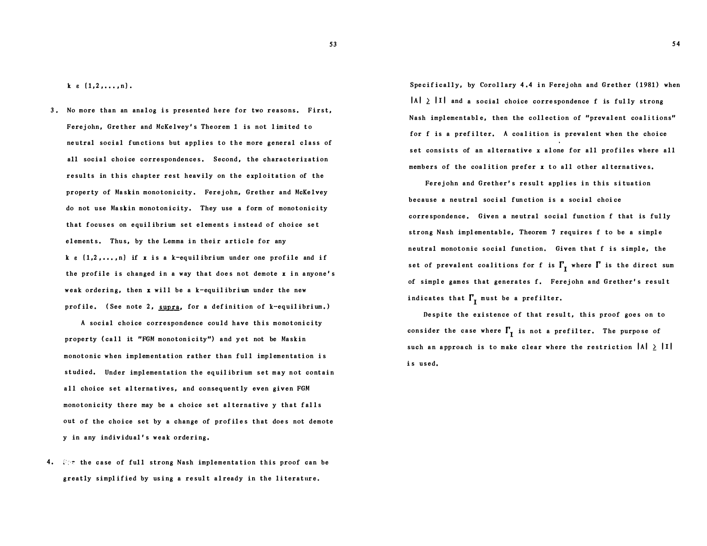53

 $k \in \{1, 2, \ldots, n\}.$ 

3. No more than an analog is presented here for two reasons. First, Ferejohn, Grether and McKelvey's Theorem 1 is not limited to ne utral soc ial functions but applies to the more general class of all social choice correspondences. Second, the characterization results in this chapter rest heavily on the exploitation of the property of Maskin monotonicity. Ferejohn, Grether and McKelvey do not use Maskin monotonicity. They use a form of monotonicity that focuses on equilibrium set elements instead of choice set elements. Thus, by the Lemma in their article for any  $k \in \{1, 2, ..., n\}$  if x is a k-equilibrium under one profile and if the profile is changed in a way that does not demote  $x$  in anyone's weak ordering, then  $x$  will be a k-equilibrium under the new profile. (See note 2, supra, for a definition of  $k$ -equilibrium.)

A social choice correspondence could have this monotonicity property (call it "FGM monotonicity") and yet not be Maskin monotonic when implementation rather than full implementation is studied, Under implementation the equil ibrium set may not contain all choice set alternatives, and consequently even given FGM monotonicity there may be a choice set alternative y that falls out of the choice set by a change of prof iles that does not demote y in any individual's weak ordering.

4.  $\Re z$  the case of full strong Nash implementation this proof can be greatly simplified by using a result already in the literature.

Specifically, by Corollary 4.4 in Ferejohn and Grether (1981) when  $|A| \geq |I|$  and a social choice correspondence f is fully strong Nash implementable, then the collection of "prevalent coalitions" for f is a prefilter. A coalition is prevalent when the choice set consists of an alternative x alone for all profiles where all members of the coalition prefer x to all other alternatives.

Ferejohn and Grether's result applies in this situation because a neutral social function is a social choice correspondence. Given a neutral social function f that is fully strong Nash implementable, Theorem 7 requires f to be a simple neutral monotonic social function. Given that f is simple, the set of prevalent coalitions for f is  $\Gamma_{\text{I}}$  where  $\Gamma$  is the direct sum of simple games that generates f. Ferejohn and Grether's result indicates that  $\Gamma_{\text{I}}$  must be a prefilter.

Despite the existence of that result, this proof goes on to consider the case where  $\Gamma_{\mathrm{I}}$  is not a prefilter. The purpose of such an approach is to make clear where the restriction  $|A| \geq |I|$ is used,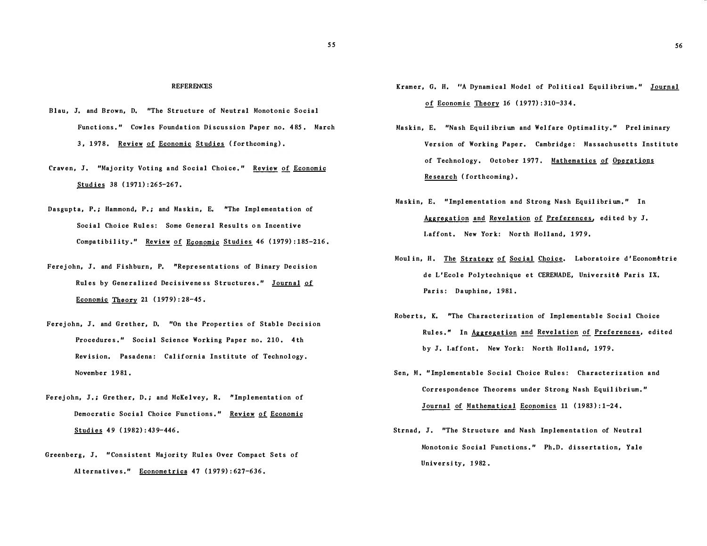#### **REFERENCES**

- Blau, J. and Brown, D. "The Structure of Neutral Monotonic Social Functions." Cowles Foundation Discussion Paper no. 485. March 3, 1978. Review of Economic Studies (forthcoming).
- Craven, J. "Majority Voting and Social Choice." Review of Economic Studies 38 (1971):265-267.
- Dasgupta, P.: Hammond, P.: and Maskin, E. "The Implementation of Soc ial Choice Rules: Some General Results on Incentive Compatibility." Review of Economic Studies 46 (1979):185-216.
- Ferejohn, J. and Fishburn, P. "Representations of Binary Decision Rules by Generalized Decisiveness Structures." Journal of Economic Theory 21  $(1979):28-45$ .
- Ferejohn, J. and Grether, D. "On the Properties of Stable Decision Procedures." Social Science Working Paper no. 210. 4th Revision. Pasadena: California Institute of Technology. November 1981.
- Ferejohn, J.; Grether, D.; and McKelvey, R. "Implementation of Democratic Social Choice Functions." Review of Economic Studies 49 ( 1982) : 43 9-446 .
- Greenberg, J. "Consistent Majority Rules Over Compact Sets of Alternatives," Econometrica 47 (1979): 627-636.
- Kramer, G. H. "A Dynamical Model of Political Equilibrium." Journal of Economic Theory 16 ( 1977) : 310-33 4 .
- Maskin, E. "Nash Equilibrium and Welfare Optimality." Preliminary Version of Working Paper. Cambridge: Massachusetts Institute of Technology. October 1977. Mathematics of Operations Research (forthcoming).
- Maskin, E. "Implementation and Strong Nash Equilibrium." In Aggregation and Revelation of Preferences, edited by J. Laffont. New York: North Holland, 1979.
- Moulin, H. The Strategy of Social Choice. Laboratoire d'Econometrie de L'Ecole Polytechnique et CEREMADE, Universit6 Paris IX. Paris: Dauphine, 1981.
- Roberts, K. "The Characterization of Implementable Social Choice Rules." In Aggregation and Revelation of Preferences, edited by J. Laffont. New York: North Holland, 1979.
- Sen, M. "Implementable Social Choice Rules: Characterization and Correspondence Theorems under Strong Nash Equil ibrium. " Journal of Mathematical Economics 11 (1983): 1-24.
- Strnad, J. "The Structure and Nash Implementation of Neutral Monotonic Social Functions." Ph.D. dissertation, Yale University, 1982.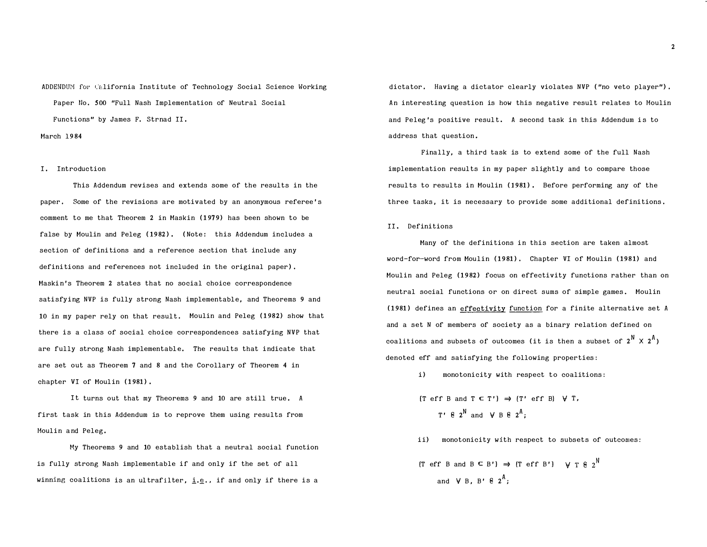ADDENDUM for California Institute of Technology Social Science Working Paper No. 500 "Full Nash Implementation of Neutral Social Functions" by James F. Strnad II.

March 1984

#### I. Introduction

This Addendum revises and extends some of the results in the paper. Some of the revisions are motivated by an anonymous referee's comment to me that Theorem 2 in Maskin (1979) has been shown to be false by Moulin and Peleg (1982). (Note: this Addendum includes a section of definitions and a reference section that include any definitions and references not included in the original paper). Maskin's Theorem 2 states that no social choice correspondence satisfying NVP is fully strong Nash implementable, and Theorems 9 and 10 in my paper rely on that result. Moulin and Peleg (1982) show that there is a class of social choice correspondences satisfying NVP that are fully strong Nash implementable. The results that indicate that are set out as Theorem 7 and 8 and the Corollary of Theorem 4 in chapter VI of Moulin (1981).

It turns out that my Theorems 9 and 10 are still true. A first task in this Addendum is to reprove them using results from Moulin and Peleg.

My Theorems 9 and 10 establish that a neutral social function is fully strong Nash implementable if and only if the set of all winning coalitions is an ultrafilter,  $\underline{i}.\underline{e}$ ., if and only if there is a dictator. Having a dictator clearly violates NVP ("no veto player"). An interesting question is how this negative result relates to Moulin and Peleg's positive result. A second task in this Addendum is to address that question.

Finally, a third task is to extend some of the full Nash implementation results in my paper slightly and to compare those results to results in Moulin (1981). Before performing any of the three tasks, it is necessary to provide some additional definitions.

II. Definitions

Many of the definitions in this section are taken almost word-for-word from Moulin (1981). Chapter VI of Moulin (1981) and Moulin and Peleg (1982) focus on effectivity functions rather than on neutral social functions or on direct sums of simple games. Moulin (1981) defines an effectivity function for a finite alternative set A and a set N of members of society as a binary relation defined on coalitions and subsets of outcomes (it is then a subset of  $2^{\mathsf{N}}\times 2^{\mathsf{A}}$ ) denoted eff and satisfying the following properties :

i) monotonicity with respect to coalitions:

- $[T \text{ eff } B \text{ and } T \subset T'] \Rightarrow (T' \text{ eff } B) \forall T$ , T'  $62^N$  and  $\forall B 6 2^A;$
- ii) monotonicity with respect to subsets of outcomes :

$$
(\text{Tr} \text{ erf } B \text{ and } B \subseteq B') \Rightarrow (\text{Tr} \text{ erf } B') \quad \forall \text{ T} \& 2^N
$$
\n
$$
\text{and } \forall B, B' \& 2^A;
$$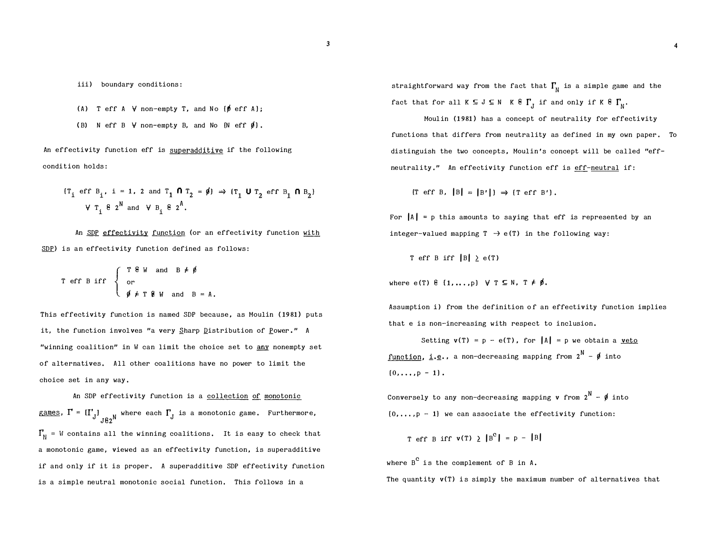- (A) T eff A  $\forall$  non-empty T, and No  $\{\emptyset \text{ eff A}\}$ ;
- (B) N eff B  $\forall$  non-empty B, and No  $\{N \text{ eff } \emptyset\}$ .

An effectivity function eff is superadditive if the following condi tion holds :

$$
\begin{aligned}\n\{\mathsf{T}_i \text{ eff } \mathsf{B}_i, \ \mathsf{i} = 1, \ 2 \text{ and } \mathsf{T}_1 \text{ f } \mathsf{T}_2 = \emptyset\} &\Rightarrow \{\mathsf{T}_1 \text{ U } \mathsf{T}_2 \text{ eff } \mathsf{B}_1 \text{ f } \mathsf{B}_2\} \\
&\forall \mathsf{T}_i \text{ f } 2^N \text{ and } \forall \mathsf{B}_i \text{ f } 2^A.\n\end{aligned}
$$

An SDP effectivity function (or an effectivity function with SDP) is an effectivity function defined as follows:

T eff B iff and  $B = A$ .

This effectivity function is named SDP because, as Moulin (1981) puts it, the function involves "a very Sharp Distribution of Power." A "winning coalition" in  $W$  can limit the choice set to any nonempty set of alternatives. All other coalitions have no power to limit the choice set in any way ,

An SDP effectivity function is a collection of monotonic games,  $\Gamma$  =  $\left[ \Gamma_{\mathrm{J}} \right]_{\mathrm{J} \,\mathrm{g}_2}$ N where each  $\Gamma_{\mathrm{J}}$  is a monotonic game. Furthermore,  $\Gamma_{\text{N}}$  = W contains all the winning coalitions. It is easy to check that a monotonic game, viewed as an effectivity function, is superadditive if and only if it is proper. A superadditive SDP effectivity function is a simple neutral monotonic social function. This follows in a

straightforward way from the fact that  $\Gamma_{\!_{{\rm N}}}$  is a simple game and the fact that for all  $K \subseteq J \subseteq N$   $K \in \Gamma_J$  if and only if  $K \in \Gamma_N$ .

Moulin (1981) has a concept of neutrality for effectivity functions that differs from neutrality as defined in my own paper. To distinguish the two concepts, Moulin's concept will be called "effneutrality." An effectivity function eff is eff-neutral if:

 $[T \text{ eff } B, |B| = |B'|] \Rightarrow [T \text{ eff } B']$ .

For  $|A| = p$  this amounts to saying that eff is represented by an integer-valued mapping  $T \rightarrow e(T)$  in the following way:

T eff B iff  $|B| \ge e(T)$ 

where e(T)  $\theta$  {1,...p}  $\forall$  T  $\subseteq$  N, T  $\neq$   $\emptyset$ .

Assumption i) from the definition of an effectivity function implies that e is non-increasing with respect to inclusion.

Setting  $v(T) = p - e(T)$ , for  $|A| = p$  we obtain a <u>veto</u> function, i.e., a non-decreasing mapping from  $2^N - \emptyset$  into  $\{0, \ldots, p - 1\}$ .

Conversely to any non-decreasing mapping **v** from  $2^{\mathsf{N}}$  -  $\boldsymbol{\phi}$  into  $[0,\ldots,p-1]$  we can associate the effectivity function:

T eff B iff  $v(T) > |B^c| = p - |B|$ 

where  $\overline{B}^{\mathbf{C}}$  is the complement of B in A.

The quantity  $v(T)$  is simply the maximum number of alternatives that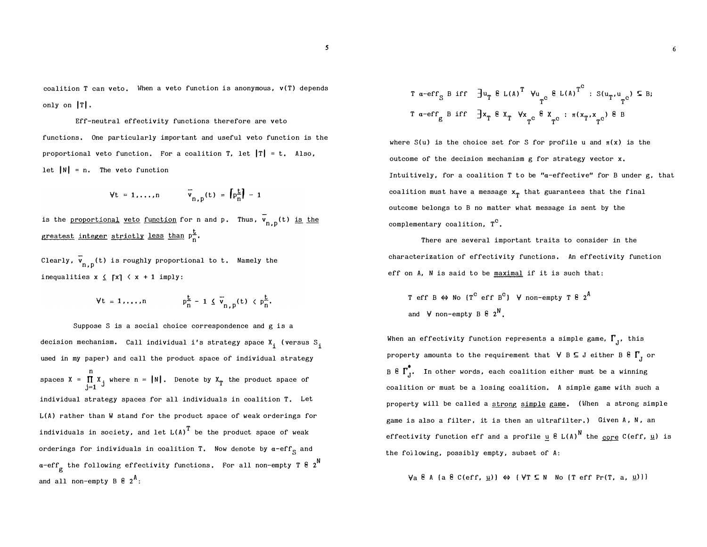coalition T can veto. When a veto function is anonymous,  $v(T)$  depends only on  $\mathbf{I}$ .

Eff-neutral effectivity functions therefore are veto functions . One par ticularly impor tant and useful veto function is the proportional veto function. For a coalition T, let  $|T| = t$ . Also. let  $|N| = n$ . The veto function

$$
\forall t = 1, \ldots, n \qquad \overline{v}_{n,p}(t) = \left[ p_{\overline{n}}^{\underline{t}} \right] - 1
$$

is the <u>proportional veto function</u> for n and p. Thus, v<sub>n, p</sub>(t) <u>is the</u> greatest integer strictly less than  $p_n^2$ .

Clearly,  $\mathsf{v}_{\mathsf{n},\mathsf{p}}(\mathsf{t})$  is roughly proportional to  $\mathsf{t}$ . Namely the inequalities  $x \leq \lceil x \rceil \leq x + 1$  imply:

$$
\forall t = 1,...,n \qquad \qquad p_n^{\underline{t}} - 1 \leq \overline{v}_{n,p}(t) \leq p_n^{\underline{t}}.
$$

Suppose S is a social choice correspondence and g is a decision mechanism. Call individual i's strategy space  $\mathbf{x_i^{\cdot}}$  (versus  $\mathbf{s_i^{\cdot}}$ used in my paper) and call the product space of individual strategy n spaces  $X = \prod_{j=1}^{n} X_j$  where  $n = |N|$ . Denote by  $X_T$  the product space of individual strategy spaces for all individuals in coalition T. Let L(A) rather than W stand for the product space of weak orderings for individuals in society, and let  $L(A)^T$  be the product space of weak orderings for individuals in coalition T. Now denote by  $a-\epsilon f$ <sub>S</sub> and  $\alpha$ -eff $_{\alpha}$  the following effectivity functions. For all non-empty T  $8\,$   $2^{\mathsf{N}}$ g and all non-empty B  $\epsilon$   $_2{}^{\text{A}}$ :

$$
\begin{array}{ccccccccc}\nT & \alpha-\text{erf}_{S} & B & \text{if} & \exists u_{T} & \theta \text{ L(A)}^{T} & \forall u_{T}^{c} & \theta \text{ L(A)}^{T^{c}} : S(u_{T}, u_{T^{c}}) & \text{ } & B;\n\end{array}
$$
\n
$$
\begin{array}{ccccccccc}\nT & \alpha-\text{erf}_{g} & B & \text{if} & \exists x_{T} & \theta & x_{T} & \forall x_{T^{c}} & \theta & x_{T}^{c} : \pi(x_{T}, x_{T^{c}}) & \theta & B\n\end{array}
$$

where S(u) is the choice set for S for profile u and  $\pi(x)$  is the outcome of the decision mechanism  $g$  for strategy vector  $x$ . Intuitively, for a coalition T to be " $a$ -effective" for B under g, that coalition must have a message  $x_T^{\phantom{\dag}}$  that guarantees that the final outcome belongs to B no matter what message is sent by the complementary coalition,  $T^C$ .

There are several important traits to consider in the characterization of effectivity functions . An effectivity function eff on A, N is said to be maximal if it is such that :

T eff B 
$$
\Leftrightarrow
$$
 No  $(T^C$  eff B<sup>C</sup>)  $\forall$  non-empty T  $\hat{\epsilon}$   $2^{\hat{A}}$   
and  $\forall$  non-empty B  $\hat{\epsilon}$   $2^{\hat{N}}$ .

When an effectivity function represents a simple game,  $\Gamma_{\text{J}}^{\text{}}$ , this property amounts to the requirement that  $\forall B \subseteq J$  either B  $\mathcal{E} \mid \Gamma_J$  or B  $\epsilon$   $\Gamma$ <sup>\*</sup>, In other words, each coalition either must be a winning coalition or must be a losing coalition . A simple game with such a property will be called a strong simple game. (When a strong simple game is also a filter, it is then an ultrafilter.) Given A, N, an effectivity function eff and a profile <u>u</u>  $E$  L(A) $^{\mathsf{N}}$  the <u>core</u> C(eff, <u>u</u>) is the following, possibly empty, subset of A:

$$
\forall a \in A
$$
 (a  $\in C(\text{eff}, \underline{u})$ )  $\Leftrightarrow$  {  $\forall T \subseteq N$  No {  $T$  eff Pr(T, a,  $\underline{u}$  ) }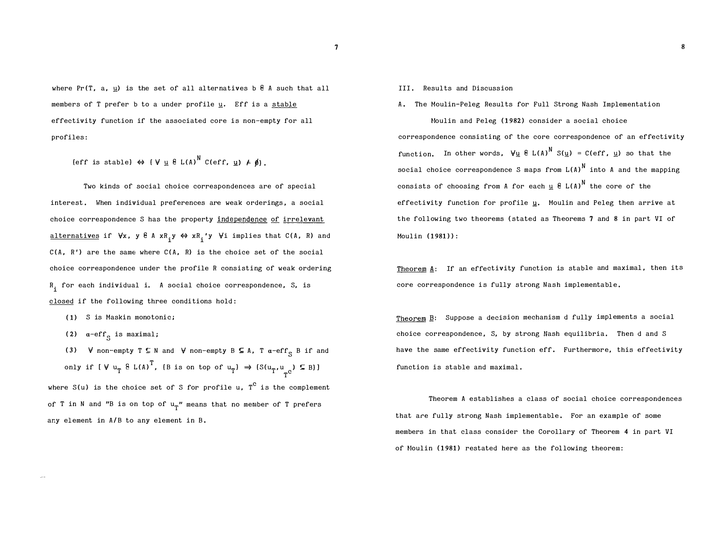where Pr(T, a, u) is the set of all alternatives b  $6$  A such that all members of T prefer b to a under profile u. Eff is a stable effectivity function if the associated core is non-empty for all profiles :

(eff is stable)  $\Leftrightarrow$   $(V \cup \mathcal{E} L(A))^N$  C(eff,  $\cup$ )  $\neq$   $\emptyset$ ).

Two kinds of social choice correspondences are of special interest. When individual preferences are weak orderings, a social choice correspondence S has the property independence of irrelevant <u>alternatives</u> if ∀x, y ĕ A xR<sub>i</sub>y ⇔ xR<sub>i</sub>′y ∀i implies that C(A, R) and  $C(A, R')$  are the same where  $C(A, R)$  is the choice set of the social choice correspondence under the profile R consisting of weak ordering R, for each individual i. A social choice correspondence, S, is<br>' closed if the following three conditions hold:

- (1) S is Maskin monotonic;
- (2)  $\alpha$ -eff<sub>c</sub> is maximal;
- (3)  $\forall$  non-empty  $T \subseteq N$  and  $\forall$  non-empty  $B \subseteq A$ ,  $T$   $\alpha$ -eff<sub>c</sub>  $B$  if and only if  $[V u_T^{\text{B L(A)}}^T$ , (B is on top of  $u_T$ )  $\Rightarrow$   $(S(u_T, u_{T^{\text{C}}}) \subseteq B)$ ] where S(u) is the choice set of S for profile u,  $\texttt{T}^\texttt{C}$  is the complement

of T in N and "B is on top of  $\mathfrak{u}_{\operatorname{T}}$ " means that no member of T prefers any element in A/B to any element in B.

- III. Results and Discussion
- A. The Moulin-Peleg Results for Full Strong Nash Implementation Moulin and Peleg (1982) consider a social choice correspondence consisting of the core correspondence of an effectivity function. In other words,  $\forall u \in L(A)^N S(u) = C(eff, u)$  so that the social choice correspondence S maps from  $L(A)^N$  into A and the mapping consists of choosing from A for each  $\underline{u}$   $\underline{e}$   $L(A)$ <sup>N</sup> the core of the effectivity function for profile u. Moulin and Peleg then arrive at the following two theorems ( stated as Theorems 7 and 8 in part VI of Moulin (1981)):

8

Theorem  $\mathbf{A}$ : If an effectivity function is stable and maximal, then its core correspondence is fully strong Nash implementable.

Theorem �: Suppose a decision mechanism d fully implements a social choice correspondence, S, by strong Nash equilibria. Then d and S have the same effectivity function eff. Furthermore, this effectivity function is stable and maximal.

Theorem A establishes a class of social choice correspondences that are fully strong Nash implementable. For an example of some members in that class consider the Corollary of Theorem 4 in part VI of Moulin (1981) restated here as the following theorem: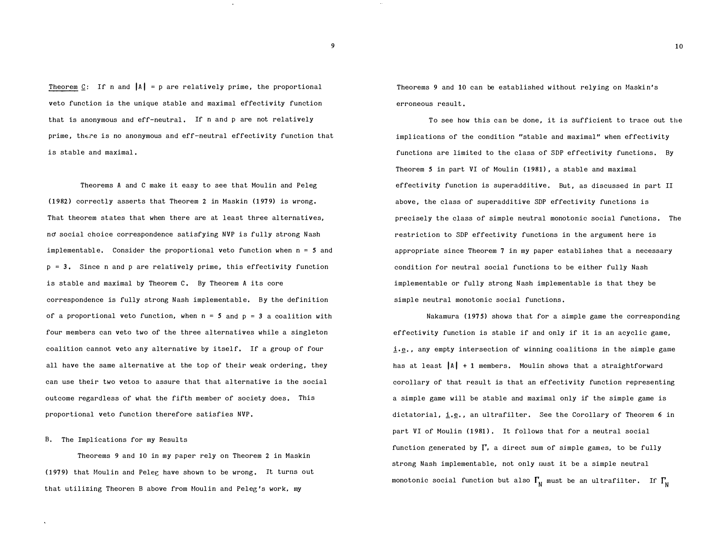Theorem C: If n and  $|A| = p$  are relatively prime, the proportional veto function is the unique stable and maximal effectivity function that is anonymous and eff-neutral. If n and p are not relatively prime, there is no anonymous and eff-neutral effectivity function that is stable and maximal .

Theorems A and C make it easy to see that Moulin and Peleg (1982) correctly asserts that Theorem 2 in Maskin (1979) is wrong. That theorem states that when there are at least three alternatives, no social choice correspondence satisfying NVP is fully strong Nash implementable. Consider the proportional veto function when  $n = 5$  and  $p = 3$ . Since n and p are relatively prime, this effectivity function is stable and maximal by Theorem C, By Theorem A its core correspondence is fully strong Nash implementable. By the definition of a proportional veto function, when  $n = 5$  and  $p = 3$  a coalition with four members can veto two of the three alternatives while a singleton coalition cannot veto any alternative by i tself. If a group of four all have the same alternative at the top of their weak ordering, they can use their two vetos to assure that that alternative is the social outcome regardless of what the fifth member of society does. This proportional veto function therefore satisfies NVP.

#### B. The Implications for my Results

Theorems 9 and 10 in my paper rely on Theorem 2 in Maskin (1979) that Moulin and Peleg have shown to be wrong. It turns out that utilizing Theorem B above from Moulin and Peleg 's work, my

Theorems 9 and 10 can be established without relying on Maskin's erroneous result.

To see how this can be done, it is sufficient to trace out the implica tions of the condi tion "stable and maximal" when effectivity functions are limited to the class of SDP effectivity functions. By Theorem 5 in part VI of Moulin (1981), a stable and maximal effectivity function is superadditive. But, as discussed in part II above, the class of superadditive SDP effectivity functions is precisely the class of simple neutral monotonic social functions. The restriction to SDP effectivity functions in the argument here is appropriate since Theorem  $7$  in my paper establishes that a necessary condition for neutral social functions to be either fully Nash implementable or fully strong Nash implementable is that they be simple neutral monotonic social functions.

Nakamura ( $1975$ ) shows that for a simple game the corresponding effectivity function is stable if and only if it is an acyclic game , i.e., any empty intersection of winning coalitions in the simple game has at least  $|A| + 1$  members. Moulin shows that a straightforward corollary of that result is that an effectivity function representing a simple game will be stable and maximal only if the simple game is dictatorial,  $\underline{i},\underline{e}$ , an ultrafilter. See the Corollary of Theorem 6 in part VI of Moulin (1981). It follows that for a neutral social function generated by  $\Gamma$ , a direct sum of simple games, to be fully strong Nash implementable, not only must it be a simple neutral monotonic social function but also  $\Gamma_{\sf N}$  must be an ultrafilter. If  $\Gamma_{\sf N}$ 

9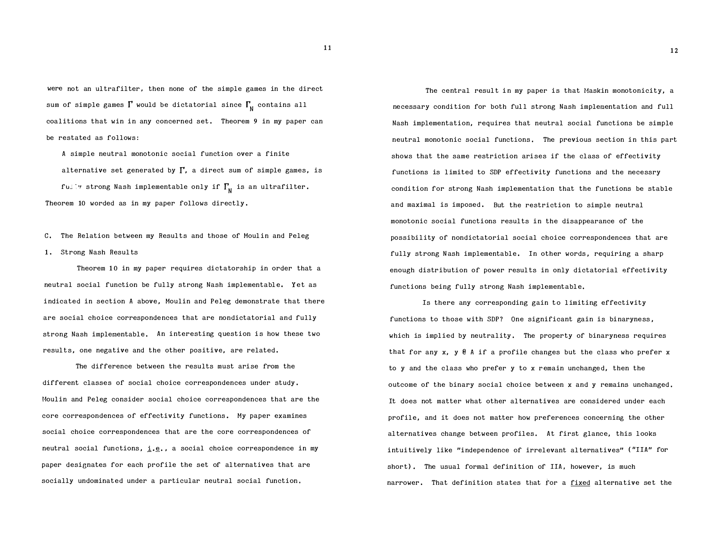were not an ultrafilter, then none of the simple games in the direct sum of simple games  $\mathbf{l}'$  would be dictatorial since  $\mathbf{l}'_\mathsf{N}$  contains all coalitions that win in any concerned set. Theorem 9 in my paper can be restated as follows:

A simple neutral monotonic social function over a finite alternative set generated by  $\Gamma$ , a direct sum of simple games, is fully strong Nash implementable only if  $\Gamma_{\mathsf{N}}$  is an ultrafilter. Theorem 10 worded as in my paper follows directly .

C. The Relation between my Results and those of Moulin and Peleg 1. Strong Nash Resul ts

Theorem 10 in my paper requires dictatorship in order that a neutral social function be fully strong Nash implementable. Yet as i ndicated in section A above, Moulin and Peleg demonstrate that there are social choice correspondences that are nondictatorial and fully strong Nash implementable. An interesting question is how these two results, one negative and the other positive, are related.

The difference between the results must arise from the different classes of social choice correspondences under study . Moulin and Peleg consider social choice correspondences that are the core correspondences of effectivity functions . My paper examines social choice correspondences that are the core correspondences of neutral social functions,  $\underline{i}.\underline{e}$ , a social choice correspondence in my paper designates for each profile the set of alternatives that are socially undominated under a particular neutral social function .

The central result in my paper is that Maskin monotonicity, a necessary condition for both full strong Nash implementation and full Nash implementation, requires that neutral social functions be simple neutral monotonic social functions. The previous section in this part shows that the same restriction arises if the class of effectivity functions is limited to SDP effectivity functions and the necessry condi tion for strong Nash implementation that the functions be stable and maximal is imposed. But the restriction to simple neutral monotonic social functions results in the disappearance of the possibility of nondictatorial social choice correspondences that are fully strong Nash implementable. In other words, requiring a sharp enough distribution of power results in only dictatorial effectivity functions being fully strong Nash implementable.

Is there any corresponding gain to limiting effectivity functions to those with SDP? One significant gain is binaryness, which is implied by neutrality. The property of binaryness requires that for any x,  $y \notin A$  if a profile changes but the class who prefer x to y and the class who prefer y to x r emain unchanged, then the outcome of the binary social choice be tween x and y remains unchanged . It does not matter what other alternatives are considered under each profile, and it does not matter how preferences concerning the other alternatives change between profiles. At first glance, this looks intui tively like "independence of irrelevant al ternatives" ( "IIA" for short). The usual formal definition of IIA, however, is much narrower. That definition states that for a fixed alternative set the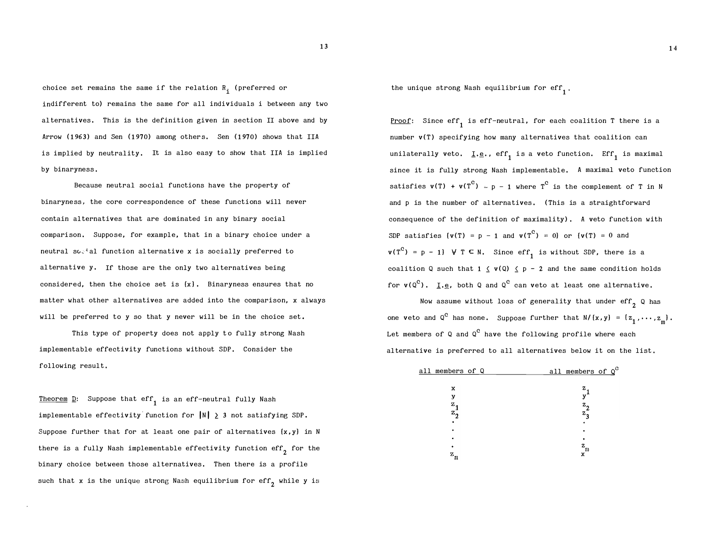choice set remains the same if the relation  $\mathtt{R}_{\mathtt{i}}^{}$  (preferred or indifferent to) remains the same for all individuals i between any two al ternatives. This is the definition given in section II above and by Arrow (1963) and Sen (1970) among others. Sen (1970) shows that IIA is implied by neutrality. It is also easy to show that IIA is implied by binaryness .

Because neutral social functions have the property of binaryness, the core correspondence of these functions will never contain al ternatives that are dominated in any binary social comparison. Suppose, for example, that in a binary choice under a neutral  $s \circ i$  al function alternative x is socially preferred to al ternative y. If those are the only two alternatives being considered, then the choice set is  $\{x\}$ . Binaryness ensures that no matter what other alternatives are added into the comparison, x always will be preferred to y so that y never will be in the choice set.

This type of property does not apply to fully strong Nash implementable effectivity functions without SDP. Consider the following result.

Theorem  $\underline{D}$ : Suppose that eff<sub>1</sub> is an eff-neutral fully Nash implementable effectivity function for  $|N| \geq 3$  not satisfying SDP. Suppose further that for at least one pair of alternatives  $\{x, y\}$  in N there is a fully Nash implementable effectivity function eff<sub>2</sub> for the binary choice between those alternatives. Then there is a profile such that x is the unique strong Nash equilibrium for eff<sub>2</sub> while y is

the unique strong Nash equilibrium for  $\mathrm{eff}_1^-.$ 

Proof: Since eff<sub>1</sub> is eff-neutral, for each coalition T there is a number  $v(T)$  specifying how many alternatives that coalition can unilaterally veto.  $I.e.,$  eff<sub>1</sub> is a veto function. Eff<sub>1</sub> is maximal since it is fully strong Nash implementable. A maximal veto function satisfies  $v(T) + v(T^C) = p - 1$  where  $T^C$  is the complement of T in N and p is the number of alternatives. (This is a straightforward consequence of the definition of maximality). A veto function with SDP satisfies  $(v(T) = p - 1$  and  $v(T^C) = 0$  or  $(v(T) = 0$  and  $v(T^C) = p - 1$   $V T \subseteq N$ . Since  $eff_1$  is without SDP, there is a coalition Q such that  $1 \leq v(Q) \leq p - 2$  and the same condition holds for  $v(Q^C)$ . <u>I</u>.e, both Q and Q<sup>C</sup> can veto at least one alternative.

Now assume without loss of generality that under  $\text{eff}_{2}$  Q has one veto and Q<sup>C</sup> has none. Suppose further that  $N/(x,y) = \{z_1, \dots, z_m\}$ . Let members of Q and Q $^{\tt C}$  have the following profile where each al ternative is preferred to all alternatives below it on the list.

| all members of Q |  | all members of Q <sup>C</sup> |  |
|------------------|--|-------------------------------|--|
|                  |  |                               |  |
| x                |  | 7.                            |  |
|                  |  |                               |  |
| Ζ.               |  | $z_{2}$                       |  |
| $z_{q}$          |  | $z_{\mathbf{z}}$              |  |
|                  |  |                               |  |
|                  |  |                               |  |
|                  |  |                               |  |
|                  |  | z<br>m                        |  |
| m                |  |                               |  |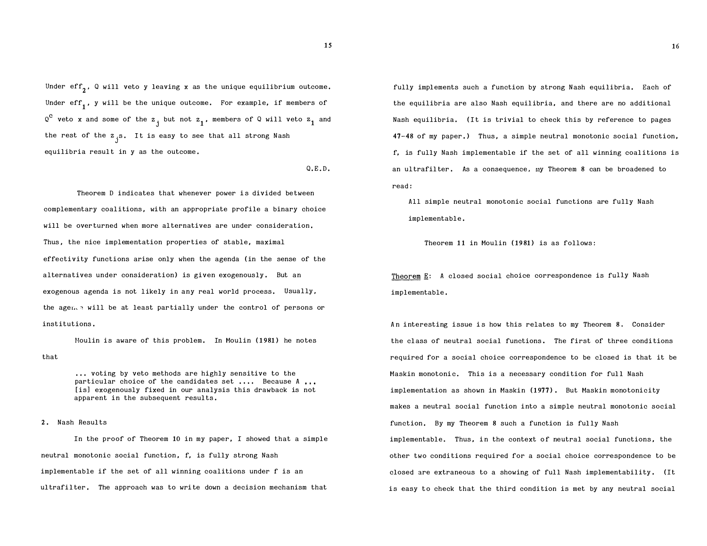Under eff $_2^{\phantom{\dag}}$ , Q will veto y leaving x as the unique equilibrium outcome. Under  $\mathrm{eff}_1^{}$ , y will be the unique outcome. For example, if members of  $\mathbf{Q}^{\mathbf{C}}$  veto **x** and some of the  $\mathbf{z}_\mathbf{j}$  but not  $\mathbf{z}_\mathbf{l}$ , members of Q will veto  $\mathbf{z}_\mathbf{l}$  and the rest of the  $\mathbf{z}$   $_{\mathbf{3}}$ . It is easy to see that all strong Nash equilibria result in y as the outcome.

 $Q.E.D.$ 

Theorem D indicates that whenever power is divided between complementary coalitions, with an appropriate profile a binary choice will be overturned when more alternatives are under consideration. Thus, the nice implementation properties of stable, maximal effectivity functions arise only when the agenda ( in the sense of the alternatives under consideration) is given exogenously. But an exogenous agenda is not likely in any real world process. Usually, the agen.  $\frac{1}{2}$  will be at least partially under the control of persons or institutions .

that Moulin is aware of this problem. In Moulin (1981) he notes

> ... voting by veto methods are highly sensitive to the particular choice of the candidates set .... Because A ... [is] exogenously fixed in our analysis this drawback is not apparent in the subsequent results.

#### 2. Nash Results

In the proof of Theorem 10 in my paper, I showed that a simple neutral monotonic social function, f, is fully strong Nash implementable if the set of all winning coalitions under f is an ultrafilter. The approach was to write down a decision mechanism that

fully implements such a function by strong Nash equilibria. Each of the equilibria are also Nash equilibria, and there are no addi tional Nash equilibria. (It is trivial to check this by reference to pages 47-48 of my paper.) Thus, a simple neutral monotonic social function, f, is fully Nash implementable if the set of all winning coali tions is an ultrafilter. As a consequence, my Theorem 8 can be broadened to read :

All simple neutral monotonic social functions are fully Nash implementable.

Theorem 11 in Moulin (1981) is as follows:

Theorem E: A closed social choice correspondence is fully Nash implementable.

An interesting issue is how this relates to my Theorem 8. Consider the class of neutral social functions. The first of three conditions required for a social choice correspondence to be closed is that it be Maskin monotonic. This is a necessary condition for full Nash implementation as shown in Maskin (1977). But Maskin monotonicity makes a neutral social function into a simple neutral monotonic social function. By my Theorem 8 such a function is fully Nash implementable. Thus, in the context of neutral social functions, the other two conditions required for a social choice correspondence to be closed are extraneous to a showing of full Nash implementability. (It is easy to check that the third condition is met by any neutral social